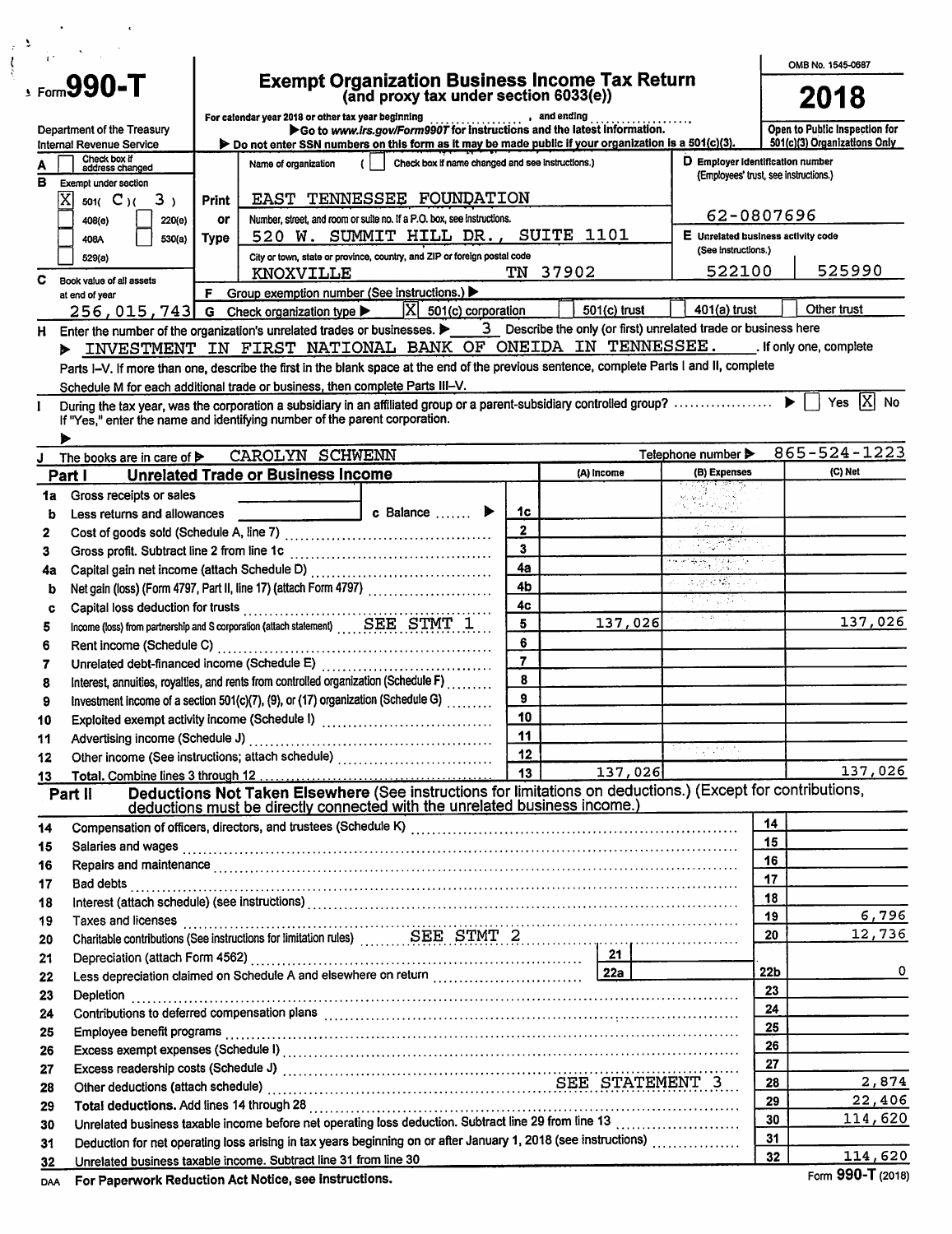| $\frac{1}{4}$                                                                                                                                                                                                                                                         |                         |                |                                        |                 | OMB No. 1545-0687                                             |
|-----------------------------------------------------------------------------------------------------------------------------------------------------------------------------------------------------------------------------------------------------------------------|-------------------------|----------------|----------------------------------------|-----------------|---------------------------------------------------------------|
| <b>Exempt Organization Business Income Tax Return</b><br>(and proxy tax under section 6033(e))<br>$\epsilon$ , Form $990$ -T                                                                                                                                          |                         |                |                                        |                 | 2018                                                          |
| For calendar year 2018 or other tax year beginning<br>●● Go to www.irs.gov/Form9907 for instructions and the latest information.<br>Department of the Treasury<br>Do not enter SSN numbers on this form as it may be made public if your organization is a 501(c)(3). |                         |                |                                        |                 | Open to Public Inspection for<br>501(c)(3) Organizations Only |
| Internal Revenue Service<br>Check box if<br>Check box if name changed and see instructions.)<br>Name of organization                                                                                                                                                  |                         |                | D Employer identification number       |                 |                                                               |
| А<br>address changed<br>в.<br>Exempt under section                                                                                                                                                                                                                    |                         |                | (Employees' trust, see instructions.)  |                 |                                                               |
| EAST TENNESSEE FOUNDATION<br>хI<br>3 <sub>1</sub><br>501( $C$ )(<br><b>Print</b>                                                                                                                                                                                      |                         |                |                                        |                 |                                                               |
| Number, street, and room or suite no. If a P.O. box, see instructions.<br>220(e)<br>or<br>408(e)                                                                                                                                                                      |                         |                |                                        | 62-0807696      |                                                               |
| 520 W. SUMMIT HILL DR., SUITE 1101<br>Type<br>530(a)<br>408A                                                                                                                                                                                                          |                         |                | E Unrelated business activity code     |                 |                                                               |
| City or town, state or province, country, and ZIP or foreign postal code<br>529(a)                                                                                                                                                                                    |                         |                | (See instructions.)                    |                 |                                                               |
| KNOXVILLE<br>c<br>Book value of all assets                                                                                                                                                                                                                            | TN 37902                |                | 522100                                 |                 | 525990                                                        |
| F Group exemption number (See instructions.) $\blacktriangleright$<br>at end of year                                                                                                                                                                                  |                         |                | $401(a)$ trust                         |                 | Other trust                                                   |
| $ X $ 501(c) corporation<br>256, 015, 743 G Check organization type ▶                                                                                                                                                                                                 |                         | $501(c)$ trust |                                        |                 |                                                               |
| H.<br>> INVESTMENT IN FIRST NATIONAL BANK OF ONEIDA IN TENNESSEE. (If only one, complete                                                                                                                                                                              |                         |                |                                        |                 |                                                               |
| Parts I-V. If more than one, describe the first in the blank space at the end of the previous sentence, complete Parts I and II, complete                                                                                                                             |                         |                |                                        |                 |                                                               |
| Schedule M for each additional trade or business, then complete Parts III-V.                                                                                                                                                                                          |                         |                |                                        |                 |                                                               |
|                                                                                                                                                                                                                                                                       |                         |                |                                        |                 | Yes $[\overline{X}]$ No                                       |
| If "Yes," enter the name and identifying number of the parent corporation.                                                                                                                                                                                            |                         |                |                                        |                 |                                                               |
| CAROLYN SCHWENN                                                                                                                                                                                                                                                       |                         |                | Telephone number $\blacktriangleright$ |                 | 865-524-1223                                                  |
| The books are in care of ><br><b>Unrelated Trade or Business Income</b><br>Part I                                                                                                                                                                                     |                         | (A) Income     | (B) Expenses                           |                 | (C) Net                                                       |
| Gross receipts or sales<br>1a                                                                                                                                                                                                                                         |                         |                |                                        |                 |                                                               |
| c Balance<br>Less returns and allowances<br>b                                                                                                                                                                                                                         | 1c                      |                |                                        |                 |                                                               |
| 2                                                                                                                                                                                                                                                                     | $\mathbf{2}$            |                | 고 있다 그리고                               |                 |                                                               |
| 3                                                                                                                                                                                                                                                                     | $\overline{\mathbf{3}}$ |                |                                        |                 |                                                               |
| 4а                                                                                                                                                                                                                                                                    | 4a                      |                | 11 - 대표 3월 1994년 11<br>1995년 12월 19일   |                 |                                                               |
| Net gain (loss) (Form 4797, Part II, line 17) (attach Form 4797) [<br>b                                                                                                                                                                                               | 4 <sub>b</sub>          |                | a shekim da a                          |                 |                                                               |
| Capital loss deduction for trusts<br>c                                                                                                                                                                                                                                | 4c                      |                | विस्तार प्राप्त भ                      |                 |                                                               |
| Income (loss) from partnership and S corporation (attach statement) SEE STMT 1<br>5                                                                                                                                                                                   | 5                       | 137,026        | a kasan ing I                          |                 | 137,026                                                       |
| 6                                                                                                                                                                                                                                                                     | 6                       |                |                                        |                 |                                                               |
| 7                                                                                                                                                                                                                                                                     | $\overline{7}$          |                |                                        |                 |                                                               |
| Interest, annuities, royalties, and rents from controlled organization (Schedule F)<br>8                                                                                                                                                                              | 8                       |                |                                        |                 |                                                               |
| Investment income of a section 501(c)(7), (9), or (17) organization (Schedule G)<br>9                                                                                                                                                                                 | 9                       |                |                                        |                 |                                                               |
| 10                                                                                                                                                                                                                                                                    | 10 <sub>1</sub><br>11   |                |                                        |                 |                                                               |
| Advertising income (Schedule J)<br>11                                                                                                                                                                                                                                 | 12                      |                | a kacamatan ing Kabupatèn Bag          |                 |                                                               |
| 12                                                                                                                                                                                                                                                                    | 13                      | 137,026        |                                        |                 | 137,026                                                       |
| 13<br>Deductions Not Taken Elsewhere (See instructions for limitations on deductions.) (Except for contributions,<br>Part II                                                                                                                                          |                         |                |                                        |                 |                                                               |
| deductions must be directly connected with the unrelated business income.)                                                                                                                                                                                            |                         |                |                                        |                 |                                                               |
| 14                                                                                                                                                                                                                                                                    |                         |                |                                        | 14              |                                                               |
| 15                                                                                                                                                                                                                                                                    |                         |                |                                        | 15              |                                                               |
| Repairs and maintenance with the continuum control of the control of the control of the control of the control of the control of the control of the control of the control of the control of the control of the control of the<br>16                                  |                         |                |                                        | 16              |                                                               |
| 17                                                                                                                                                                                                                                                                    |                         |                |                                        | 17<br>18        |                                                               |
| 18                                                                                                                                                                                                                                                                    |                         |                |                                        | 19              | 6,796                                                         |
| 19<br>Charitable contributions (See instructions for limitation rules)<br>E. STMT 2                                                                                                                                                                                   |                         |                |                                        | 20              | 12,736                                                        |
| 20<br>21                                                                                                                                                                                                                                                              |                         |                |                                        |                 |                                                               |
| 22                                                                                                                                                                                                                                                                    |                         |                |                                        | 22 <sub>b</sub> |                                                               |
| 23                                                                                                                                                                                                                                                                    |                         |                |                                        | 23              |                                                               |
| 24                                                                                                                                                                                                                                                                    |                         |                |                                        | 24              |                                                               |
| Employee benefit programs with the contract of the contract of the contract of the contract of the contract of<br>25                                                                                                                                                  |                         |                |                                        | 25              |                                                               |
| 26                                                                                                                                                                                                                                                                    |                         |                |                                        | 26              |                                                               |
| 27                                                                                                                                                                                                                                                                    |                         |                |                                        | 27              |                                                               |
| Other deductions (attach schedule) Material According SEE STATEMENT<br>28                                                                                                                                                                                             |                         |                |                                        | 28              | 2,874                                                         |
| 29                                                                                                                                                                                                                                                                    |                         |                |                                        | 29              | 22,406<br>114,620                                             |
| Unrelated business taxable income before net operating loss deduction. Subtract line 29 from line 13<br>30                                                                                                                                                            |                         |                |                                        | 30<br>31        |                                                               |
| Deduction for net operating loss arising in tax years beginning on or after January 1, 2018 (see instructions)<br>31<br>Unrelated business taxable income. Subtract line 31 from line 30                                                                              |                         |                |                                        | 32              | 114,620                                                       |
| 32                                                                                                                                                                                                                                                                    |                         |                |                                        |                 |                                                               |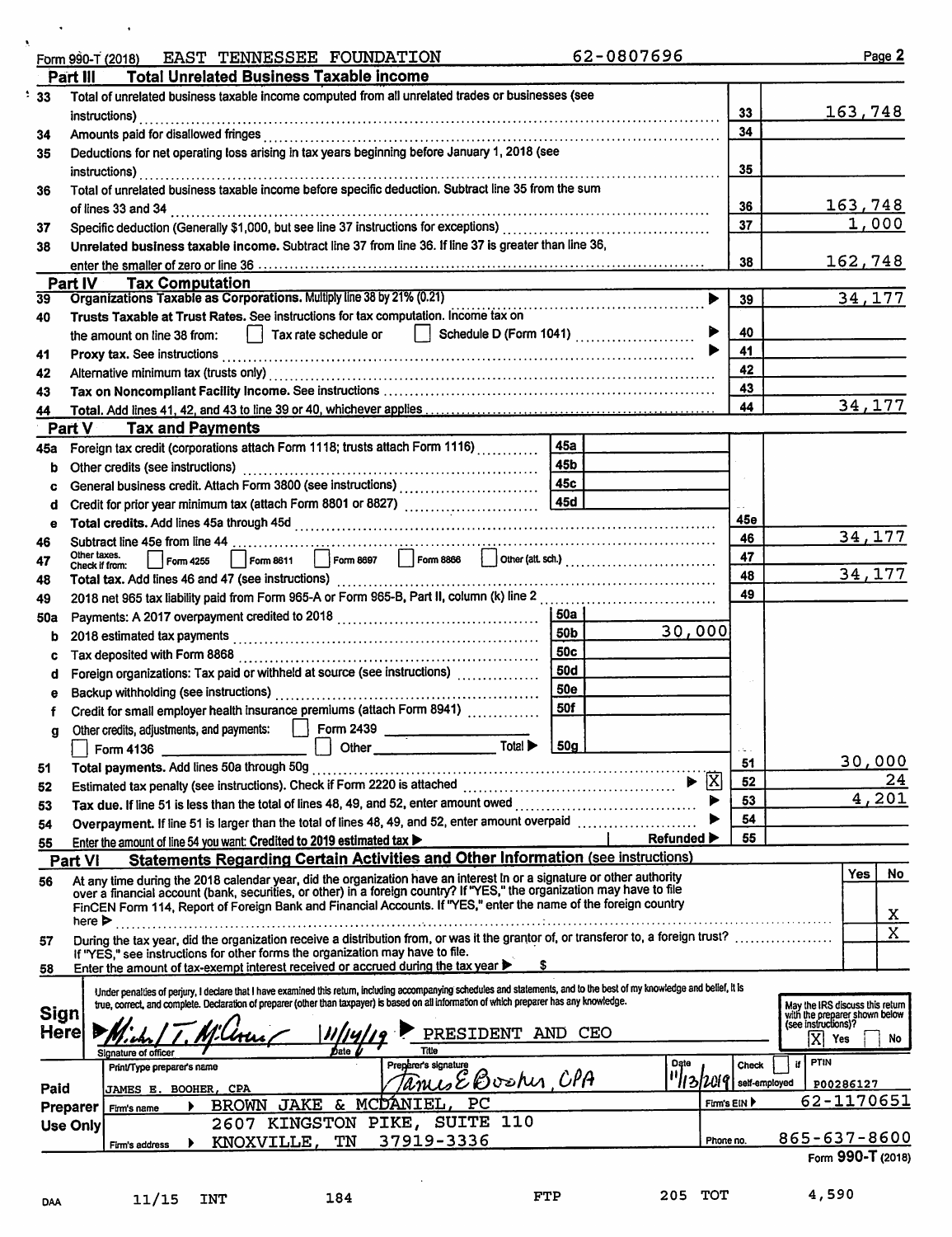| Form 990-T (2018) |  | EAST TENNESSEE FOUNDATION |
|-------------------|--|---------------------------|
|                   |  |                           |

 $\overline{\phantom{a}}$ 

 $11/15$  INT

DAA

٠

62-0807696

|      | <b>Total Unrelated Business Taxable income</b><br>Part III                                                                                                                                                                                       |                                |               |                                                      |
|------|--------------------------------------------------------------------------------------------------------------------------------------------------------------------------------------------------------------------------------------------------|--------------------------------|---------------|------------------------------------------------------|
| 33   | Total of unrelated business taxable income computed from all unrelated trades or businesses (see                                                                                                                                                 |                                |               |                                                      |
|      | instructions)                                                                                                                                                                                                                                    |                                | 33            | 163,748                                              |
| 34   |                                                                                                                                                                                                                                                  |                                | 34            |                                                      |
| 35   | Deductions for net operating loss arising in tax years beginning before January 1, 2018 (see                                                                                                                                                     |                                |               |                                                      |
|      | instructions)                                                                                                                                                                                                                                    |                                | 35            |                                                      |
| 36   | Total of unrelated business taxable income before specific deduction. Subtract line 35 from the sum                                                                                                                                              |                                |               |                                                      |
|      | of lines 33 and 34                                                                                                                                                                                                                               |                                | 36            | 163,748                                              |
| 37   |                                                                                                                                                                                                                                                  |                                | 37            | 1,000                                                |
| 38   | Unrelated business taxable income. Subtract line 37 from line 36. If line 37 is greater than line 36,                                                                                                                                            |                                |               |                                                      |
|      |                                                                                                                                                                                                                                                  |                                | 38            | 162,748                                              |
| 39   | Part IV<br><b>Tax Computation</b><br>Organizations Taxable as Corporations. Multiply line 38 by 21% (0.21)                                                                                                                                       |                                | 39            | 34,177                                               |
| 40   | Trusts Taxable at Trust Rates. See instructions for tax computation. Income tax on                                                                                                                                                               |                                |               |                                                      |
|      | Tax rate schedule or<br>  Schedule D (Form 1041) $\ldots$ $\ldots$ $\ldots$ $\ldots$<br>the amount on line 38 from:                                                                                                                              |                                | 40            |                                                      |
| 41   |                                                                                                                                                                                                                                                  |                                | 41            |                                                      |
| 42   | Alternative minimum tax (trusts only) [[11] Alternative material contracts and the minimum tax (trusts only) [                                                                                                                                   |                                | 42            |                                                      |
| 43   |                                                                                                                                                                                                                                                  |                                | 43            |                                                      |
| 44   |                                                                                                                                                                                                                                                  |                                | 44            | 34, 177                                              |
|      | Part V Tax and Payments                                                                                                                                                                                                                          |                                |               |                                                      |
| 45а  | <b>45a</b><br>Foreign tax credit (corporations attach Form 1118; trusts attach Form 1116)                                                                                                                                                        |                                |               |                                                      |
| b    | 45b<br>Other credits (see instructions)                                                                                                                                                                                                          |                                |               |                                                      |
| c    |                                                                                                                                                                                                                                                  |                                |               |                                                      |
| d    |                                                                                                                                                                                                                                                  |                                |               |                                                      |
| е    |                                                                                                                                                                                                                                                  |                                | 45е           |                                                      |
| 46   |                                                                                                                                                                                                                                                  |                                | 46            | 34,177                                               |
| 47   | Other taxes.<br>Check if from:                                                                                                                                                                                                                   |                                | 47            |                                                      |
| 48   |                                                                                                                                                                                                                                                  |                                | 48            | 34, 177                                              |
| 49   |                                                                                                                                                                                                                                                  |                                | 49            |                                                      |
| 50a  | <b>50a</b>                                                                                                                                                                                                                                       |                                |               |                                                      |
| b    | 50 <sub>b</sub>                                                                                                                                                                                                                                  | 30,000                         |               |                                                      |
| c    | <b>50c</b><br>Tax deposited with Form 8868                                                                                                                                                                                                       |                                |               |                                                      |
| d    | <b>50d</b><br>Foreign organizations: Tax paid or withheld at source (see instructions) [                                                                                                                                                         |                                |               |                                                      |
| е    | <b>50e</b>                                                                                                                                                                                                                                       |                                |               |                                                      |
|      | 50f<br>Credit for small employer health insurance premiums (attach Form 8941)                                                                                                                                                                    |                                |               |                                                      |
| g    | Other credits, adjustments, and payments:   Form 2439                                                                                                                                                                                            |                                |               |                                                      |
|      | Total ><br>50g                                                                                                                                                                                                                                   |                                |               |                                                      |
| 51   |                                                                                                                                                                                                                                                  |                                | 51            | <u>30,000</u>                                        |
| 52   |                                                                                                                                                                                                                                                  | $ \overline{X} $<br>▶          | 52            | 24<br>4,201                                          |
| 53   | Tax due. If line 51 is less than the total of lines 48, 49, and 52, enter amount owed                                                                                                                                                            |                                | 53<br>54      |                                                      |
| 54   | Overpayment. If line 51 is larger than the total of lines 48, 49, and 52, enter amount overpaid                                                                                                                                                  |                                | 55            |                                                      |
| 55   | Enter the amount of line 54 you want: Credited to 2019 estimated tax                                                                                                                                                                             | Refunded $\blacktriangleright$ |               |                                                      |
|      | Statements Regarding Certain Activities and Other Information (see instructions)<br><b>Part VI</b>                                                                                                                                               |                                |               | Yes<br>No                                            |
| 56   | At any time during the 2018 calendar year, did the organization have an interest in or a signature or other authority<br>over a financial account (bank, securities, or other) in a foreign country? If "YES," the organization may have to file |                                |               |                                                      |
|      | FinCEN Form 114, Report of Foreign Bank and Financial Accounts. If "YES," enter the name of the foreign country                                                                                                                                  |                                |               | X                                                    |
|      | here $\blacktriangleright$                                                                                                                                                                                                                       |                                |               | X                                                    |
| 57   | During the tax year, did the organization receive a distribution from, or was it the grantor of, or transferor to, a foreign trust?<br>If "YES," see instructions for other forms the organization may have to file.                             |                                |               |                                                      |
| 58   | Enter the amount of tax-exempt interest received or accrued during the tax year                                                                                                                                                                  |                                |               |                                                      |
|      | Under penalties of perjury, I declare that I have examined this return, including accompanying schedules and statements, and to the best of my knowledge and belief, it is                                                                       |                                |               |                                                      |
|      | true, correct, and complete. Declaration of preparer (other than taxpayer) is based on all information of which preparer has any knowledge.                                                                                                      |                                |               | May the IRS discuss this return                      |
| Sign |                                                                                                                                                                                                                                                  |                                |               | with the preparer shown below<br>(see instructions)? |
| Here | PRESIDENT AND CEO                                                                                                                                                                                                                                |                                |               | ΙXΙ<br>Yes<br>No.                                    |
|      | Title<br>Date<br>Signature of officer<br>Preparer's signature<br>Print/Type preparer's name                                                                                                                                                      | Date                           | <b>Check</b>  | <b>PTIN</b><br>if I                                  |
|      | <u>TamisEBoshin,CPA</u>                                                                                                                                                                                                                          | <u> "lızlmıq</u>               | self-employed | P00286127                                            |
| Paid | <b>JAMES E. BOOHER, CPA</b><br>PC<br>& MCDANIEL.<br><b>BROWN JAKE</b>                                                                                                                                                                            |                                | Firm's EIN    | 62-1170651                                           |
|      | Preparer<br>Firm's name<br>2607 KINGSTON PIKE, SUITE 110<br>Use Only                                                                                                                                                                             |                                |               |                                                      |
|      | 37919-3336<br>KNOXVILLE,<br>TN<br>Firm's address                                                                                                                                                                                                 |                                | Phone no.     | 865-637-8600                                         |
|      |                                                                                                                                                                                                                                                  |                                |               | Form 990-T (2018)                                    |
|      |                                                                                                                                                                                                                                                  |                                |               |                                                      |
| DAA  | FTP<br>184<br>11/15<br>INT                                                                                                                                                                                                                       | 205 TOT                        |               | 4,590                                                |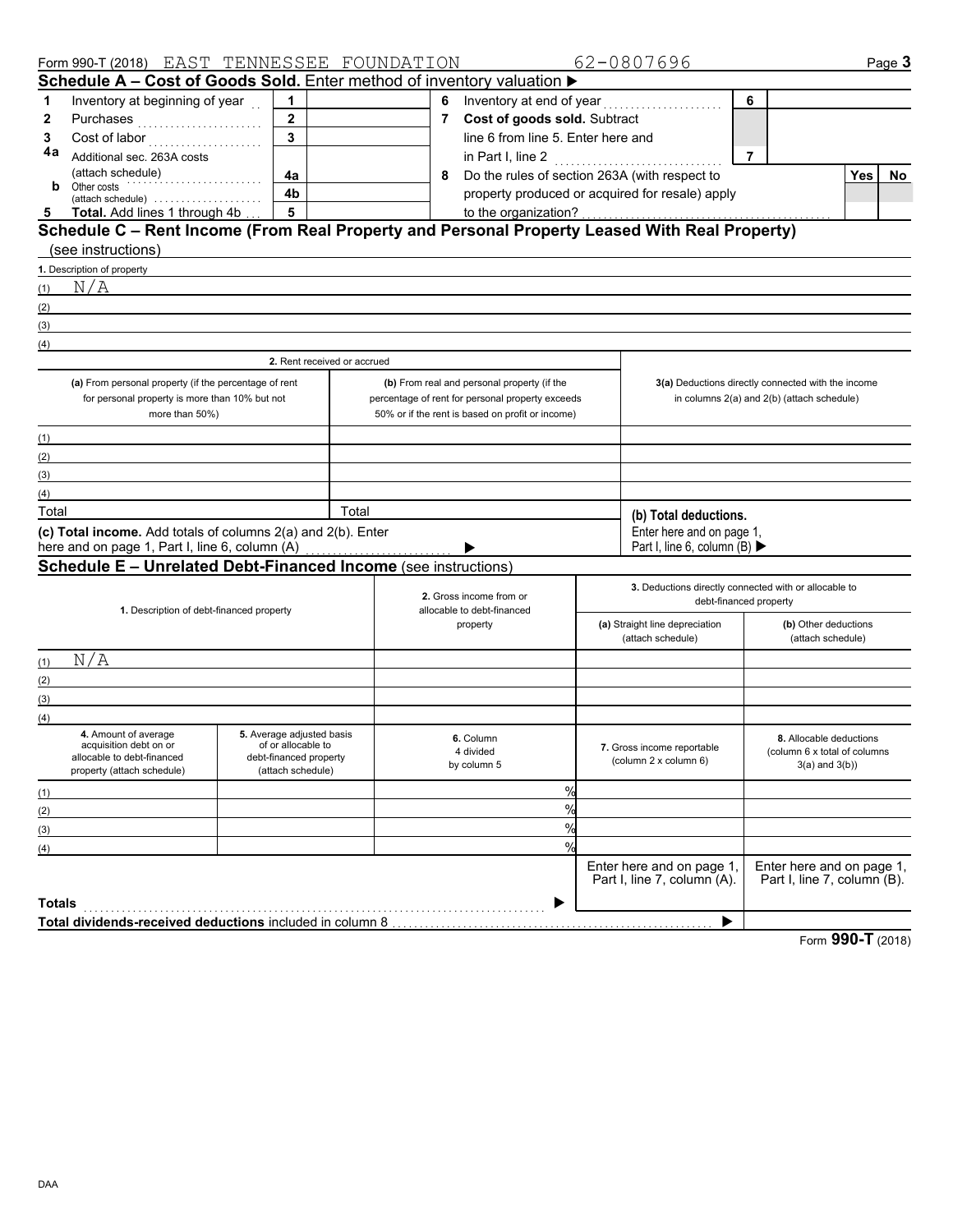|               | Form 990-T (2018) EAST TENNESSEE FOUNDATION                                                   |                                             |       |                            |                                                  |  | 62-0807696                                             |                |                                                          | Page 3            |
|---------------|-----------------------------------------------------------------------------------------------|---------------------------------------------|-------|----------------------------|--------------------------------------------------|--|--------------------------------------------------------|----------------|----------------------------------------------------------|-------------------|
|               | Schedule A - Cost of Goods Sold. Enter method of inventory valuation $\blacktriangleright$    |                                             |       |                            |                                                  |  |                                                        |                |                                                          |                   |
| 1             | Inventory at beginning of year                                                                | 1                                           |       | 6                          |                                                  |  |                                                        | 6              |                                                          |                   |
| 2             | Purchases                                                                                     | $\mathbf{2}$                                |       | $\overline{7}$             | Cost of goods sold. Subtract                     |  |                                                        |                |                                                          |                   |
| 3             |                                                                                               |                                             |       |                            | line 6 from line 5. Enter here and               |  |                                                        |                |                                                          |                   |
| 4a            | Additional sec. 263A costs                                                                    |                                             |       |                            | in Part I, line 2                                |  | .                                                      | $\overline{7}$ |                                                          |                   |
|               | (attach schedule)                                                                             | 4a                                          |       | 8                          | Do the rules of section 263A (with respect to    |  |                                                        |                |                                                          | <b>Yes</b><br>No. |
| b             | Other costs<br>(attach schedule)                                                              | 4b                                          |       |                            |                                                  |  | property produced or acquired for resale) apply        |                |                                                          |                   |
| 5             | Total. Add lines 1 through 4b                                                                 | $5\phantom{a}$                              |       |                            | to the organization?                             |  |                                                        |                |                                                          |                   |
|               | Schedule C - Rent Income (From Real Property and Personal Property Leased With Real Property) |                                             |       |                            |                                                  |  |                                                        |                |                                                          |                   |
|               | (see instructions)                                                                            |                                             |       |                            |                                                  |  |                                                        |                |                                                          |                   |
|               | 1. Description of property                                                                    |                                             |       |                            |                                                  |  |                                                        |                |                                                          |                   |
| (1)           | N/A                                                                                           |                                             |       |                            |                                                  |  |                                                        |                |                                                          |                   |
| (2)           |                                                                                               |                                             |       |                            |                                                  |  |                                                        |                |                                                          |                   |
| (3)           |                                                                                               |                                             |       |                            |                                                  |  |                                                        |                |                                                          |                   |
| (4)           |                                                                                               |                                             |       |                            |                                                  |  |                                                        |                |                                                          |                   |
|               |                                                                                               | 2. Rent received or accrued                 |       |                            |                                                  |  |                                                        |                |                                                          |                   |
|               | (a) From personal property (if the percentage of rent                                         |                                             |       |                            | (b) From real and personal property (if the      |  | 3(a) Deductions directly connected with the income     |                |                                                          |                   |
|               | for personal property is more than 10% but not                                                |                                             |       |                            | percentage of rent for personal property exceeds |  |                                                        |                | in columns 2(a) and 2(b) (attach schedule)               |                   |
|               | more than 50%)                                                                                |                                             |       |                            | 50% or if the rent is based on profit or income) |  |                                                        |                |                                                          |                   |
| (1)           |                                                                                               |                                             |       |                            |                                                  |  |                                                        |                |                                                          |                   |
| (2)           |                                                                                               |                                             |       |                            |                                                  |  |                                                        |                |                                                          |                   |
| (3)           |                                                                                               |                                             |       |                            |                                                  |  |                                                        |                |                                                          |                   |
| (4)           |                                                                                               |                                             |       |                            |                                                  |  |                                                        |                |                                                          |                   |
| Total         |                                                                                               |                                             | Total |                            |                                                  |  | (b) Total deductions.                                  |                |                                                          |                   |
|               | (c) Total income. Add totals of columns 2(a) and 2(b). Enter                                  |                                             |       |                            |                                                  |  | Enter here and on page 1,                              |                |                                                          |                   |
|               | here and on page 1, Part I, line 6, column (A)                                                |                                             |       |                            |                                                  |  | Part I, line 6, column (B) $\blacktriangleright$       |                |                                                          |                   |
|               | <b>Schedule E - Unrelated Debt-Financed Income (see instructions)</b>                         |                                             |       |                            |                                                  |  |                                                        |                |                                                          |                   |
|               |                                                                                               |                                             |       |                            | 2. Gross income from or                          |  | 3. Deductions directly connected with or allocable to  |                |                                                          |                   |
|               | 1. Description of debt-financed property                                                      |                                             |       | allocable to debt-financed |                                                  |  | debt-financed property                                 |                |                                                          |                   |
|               |                                                                                               |                                             |       | property                   |                                                  |  | (b) Other deductions<br>(a) Straight line depreciation |                |                                                          |                   |
|               |                                                                                               |                                             |       |                            |                                                  |  | (attach schedule)                                      |                | (attach schedule)                                        |                   |
| (1)           | N/A                                                                                           |                                             |       |                            |                                                  |  |                                                        |                |                                                          |                   |
| (2)           |                                                                                               |                                             |       |                            |                                                  |  |                                                        |                |                                                          |                   |
| (3)           |                                                                                               |                                             |       |                            |                                                  |  |                                                        |                |                                                          |                   |
| (4)           | 4. Amount of average                                                                          | 5. Average adjusted basis                   |       |                            |                                                  |  |                                                        |                |                                                          |                   |
|               | acquisition debt on or                                                                        | of or allocable to                          |       |                            | 6. Column<br>4 divided                           |  | 7. Gross income reportable                             |                | 8. Allocable deductions<br>(column 6 x total of columns) |                   |
|               | allocable to debt-financed<br>property (attach schedule)                                      | debt-financed property<br>(attach schedule) |       |                            | by column 5                                      |  | (column 2 x column 6)                                  |                | $3(a)$ and $3(b)$ )                                      |                   |
|               |                                                                                               |                                             |       |                            | $\%$                                             |  |                                                        |                |                                                          |                   |
| (1)           |                                                                                               |                                             |       |                            | %                                                |  |                                                        |                |                                                          |                   |
| (2)           |                                                                                               |                                             |       |                            | %                                                |  |                                                        |                |                                                          |                   |
| (3)           |                                                                                               |                                             |       |                            | $\frac{0}{0}$                                    |  |                                                        |                |                                                          |                   |
| (4)           |                                                                                               |                                             |       |                            |                                                  |  | Enter here and on page 1,                              |                | Enter here and on page 1,                                |                   |
|               |                                                                                               |                                             |       |                            |                                                  |  | Part I, line 7, column (A).                            |                | Part I, line 7, column (B).                              |                   |
| <b>Totals</b> |                                                                                               |                                             |       |                            |                                                  |  |                                                        |                |                                                          |                   |
|               | Total dividends-received deductions included in column 8                                      |                                             |       |                            |                                                  |  | ▶                                                      |                |                                                          |                   |
|               |                                                                                               |                                             |       |                            |                                                  |  |                                                        |                |                                                          |                   |

Form **990-T** (2018)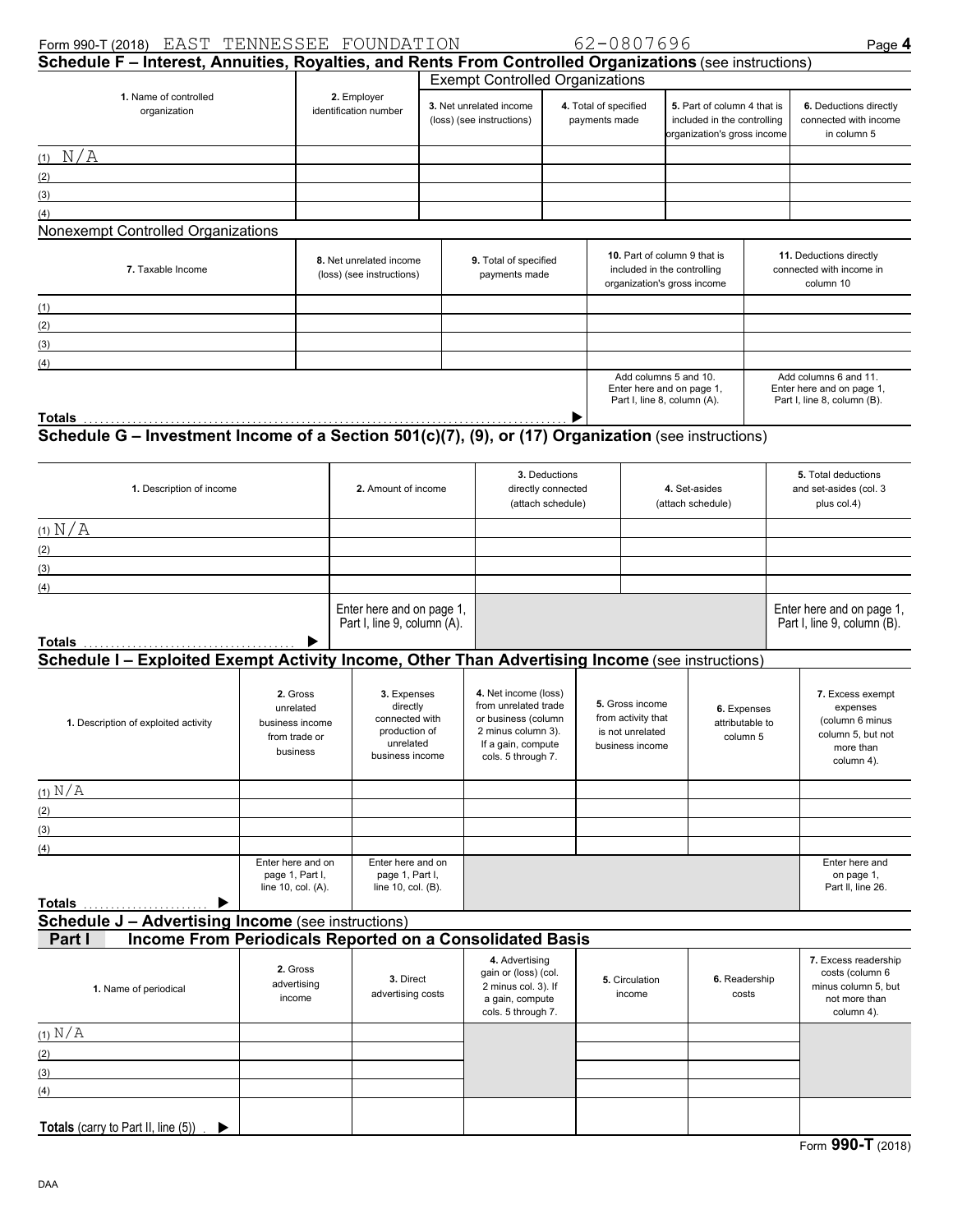#### Form 990-T (2018) Page **4** EAST TENNESSEE FOUNDATION 62-0807696

| Schedule F - Interest, Annuities, Royalties, and Rents From Controlled Organizations (see instructions)       |                                                                       |                                                                                            |                     |                                                                                                                                       |                                                          |                                                                                            |  |                                                                                           |  | . ago .                                                                                         |  |
|---------------------------------------------------------------------------------------------------------------|-----------------------------------------------------------------------|--------------------------------------------------------------------------------------------|---------------------|---------------------------------------------------------------------------------------------------------------------------------------|----------------------------------------------------------|--------------------------------------------------------------------------------------------|--|-------------------------------------------------------------------------------------------|--|-------------------------------------------------------------------------------------------------|--|
|                                                                                                               |                                                                       |                                                                                            |                     | <b>Exempt Controlled Organizations</b>                                                                                                |                                                          |                                                                                            |  |                                                                                           |  |                                                                                                 |  |
| 1. Name of controlled<br>organization                                                                         |                                                                       | 2. Employer<br>identification number                                                       |                     | 3. Net unrelated income<br>(loss) (see instructions)                                                                                  |                                                          | 4. Total of specified<br>payments made                                                     |  | 5. Part of column 4 that is<br>included in the controlling<br>organization's gross income |  | 6. Deductions directly<br>connected with income<br>in column 5                                  |  |
| $(1)$ N/A                                                                                                     |                                                                       |                                                                                            |                     |                                                                                                                                       |                                                          |                                                                                            |  |                                                                                           |  |                                                                                                 |  |
| (2)                                                                                                           |                                                                       |                                                                                            |                     |                                                                                                                                       |                                                          |                                                                                            |  |                                                                                           |  |                                                                                                 |  |
| (3)                                                                                                           |                                                                       |                                                                                            |                     |                                                                                                                                       |                                                          |                                                                                            |  |                                                                                           |  |                                                                                                 |  |
| (4)                                                                                                           |                                                                       |                                                                                            |                     |                                                                                                                                       |                                                          |                                                                                            |  |                                                                                           |  |                                                                                                 |  |
| Nonexempt Controlled Organizations                                                                            |                                                                       |                                                                                            |                     |                                                                                                                                       |                                                          |                                                                                            |  |                                                                                           |  |                                                                                                 |  |
| 7. Taxable Income                                                                                             |                                                                       | 8. Net unrelated income<br>(loss) (see instructions)                                       |                     | 9. Total of specified<br>payments made                                                                                                |                                                          | 10. Part of column 9 that is<br>included in the controlling<br>organization's gross income |  |                                                                                           |  | 11. Deductions directly<br>connected with income in<br>column 10                                |  |
| (1)                                                                                                           |                                                                       |                                                                                            |                     |                                                                                                                                       |                                                          |                                                                                            |  |                                                                                           |  |                                                                                                 |  |
| (2)                                                                                                           |                                                                       |                                                                                            |                     |                                                                                                                                       |                                                          |                                                                                            |  |                                                                                           |  |                                                                                                 |  |
| (3)                                                                                                           |                                                                       |                                                                                            |                     |                                                                                                                                       |                                                          |                                                                                            |  |                                                                                           |  |                                                                                                 |  |
| (4)                                                                                                           |                                                                       |                                                                                            |                     |                                                                                                                                       |                                                          |                                                                                            |  | Add columns 5 and 10.                                                                     |  | Add columns 6 and 11.                                                                           |  |
|                                                                                                               |                                                                       |                                                                                            |                     |                                                                                                                                       |                                                          |                                                                                            |  | Enter here and on page 1,<br>Part I, line 8, column (A).                                  |  | Enter here and on page 1,<br>Part I, line 8, column (B).                                        |  |
| Totals<br>Schedule G - Investment Income of a Section 501(c)(7), (9), or (17) Organization (see instructions) |                                                                       |                                                                                            |                     |                                                                                                                                       |                                                          |                                                                                            |  |                                                                                           |  |                                                                                                 |  |
|                                                                                                               |                                                                       |                                                                                            |                     |                                                                                                                                       |                                                          |                                                                                            |  |                                                                                           |  |                                                                                                 |  |
| 1. Description of income                                                                                      |                                                                       |                                                                                            | 2. Amount of income |                                                                                                                                       | 3. Deductions<br>directly connected<br>(attach schedule) |                                                                                            |  | 4. Set-asides<br>(attach schedule)                                                        |  | 5. Total deductions<br>and set-asides (col. 3<br>plus col.4)                                    |  |
| (1) N/A                                                                                                       |                                                                       |                                                                                            |                     |                                                                                                                                       |                                                          |                                                                                            |  |                                                                                           |  |                                                                                                 |  |
| (2)                                                                                                           |                                                                       |                                                                                            |                     |                                                                                                                                       |                                                          |                                                                                            |  |                                                                                           |  |                                                                                                 |  |
| (3)<br><u> 1989 - Johann Barn, mars ar breist bestjoerde te gemeente kommen van de kommen</u>                 |                                                                       |                                                                                            |                     |                                                                                                                                       |                                                          |                                                                                            |  |                                                                                           |  |                                                                                                 |  |
| (4)                                                                                                           |                                                                       |                                                                                            |                     |                                                                                                                                       |                                                          |                                                                                            |  |                                                                                           |  |                                                                                                 |  |
| Totals                                                                                                        |                                                                       | Enter here and on page 1,<br>Part I, line 9, column (A).                                   |                     |                                                                                                                                       |                                                          |                                                                                            |  |                                                                                           |  | Enter here and on page 1,<br>Part I, line 9, column (B).                                        |  |
| Schedule I - Exploited Exempt Activity Income, Other Than Advertising Income (see instructions)               |                                                                       |                                                                                            |                     |                                                                                                                                       |                                                          |                                                                                            |  |                                                                                           |  |                                                                                                 |  |
| 1. Description of exploited activity                                                                          | 2. Gross<br>unrelated<br>business income<br>from trade or<br>business | 3. Expenses<br>directly<br>connected with<br>production of<br>unrelated<br>business income |                     | 4. Net income (loss)<br>from unrelated trade<br>or business (column<br>2 minus column 3).<br>If a gain, compute<br>cols. 5 through 7. |                                                          | 5. Gross income<br>from activity that<br>is not unrelated<br>business income               |  | 6. Expenses<br>attributable to<br>column 5                                                |  | 7. Excess exempt<br>expenses<br>(column 6 minus<br>column 5, but not<br>more than<br>column 4). |  |
| $(1)$ N/A                                                                                                     |                                                                       |                                                                                            |                     |                                                                                                                                       |                                                          |                                                                                            |  |                                                                                           |  |                                                                                                 |  |
| (2)                                                                                                           |                                                                       |                                                                                            |                     |                                                                                                                                       |                                                          |                                                                                            |  |                                                                                           |  |                                                                                                 |  |
| (3)                                                                                                           |                                                                       |                                                                                            |                     |                                                                                                                                       |                                                          |                                                                                            |  |                                                                                           |  |                                                                                                 |  |
| (4)                                                                                                           |                                                                       |                                                                                            |                     |                                                                                                                                       |                                                          |                                                                                            |  |                                                                                           |  |                                                                                                 |  |
| Totals<br>▶                                                                                                   | Enter here and on<br>page 1, Part I,<br>line 10, col. (A).            | Enter here and on<br>page 1, Part I,<br>line 10, col. (B).                                 |                     |                                                                                                                                       |                                                          |                                                                                            |  |                                                                                           |  | Enter here and<br>on page 1,<br>Part II, line 26.                                               |  |
| <b>Schedule J - Advertising Income (see instructions)</b>                                                     |                                                                       |                                                                                            |                     |                                                                                                                                       |                                                          |                                                                                            |  |                                                                                           |  |                                                                                                 |  |
| Income From Periodicals Reported on a Consolidated Basis<br>Part I                                            |                                                                       |                                                                                            |                     |                                                                                                                                       |                                                          |                                                                                            |  |                                                                                           |  |                                                                                                 |  |
| 1. Name of periodical                                                                                         | 2. Gross<br>advertising<br>income                                     | 3. Direct<br>advertising costs                                                             |                     | 4. Advertising<br>gain or (loss) (col.<br>2 minus col. 3). If<br>a gain, compute<br>cols. 5 through 7.                                |                                                          | 5. Circulation<br>income                                                                   |  | 6. Readership<br>costs                                                                    |  | 7. Excess readership<br>costs (column 6<br>minus column 5, but<br>not more than<br>column 4).   |  |
| $(1)$ N/A                                                                                                     |                                                                       |                                                                                            |                     |                                                                                                                                       |                                                          |                                                                                            |  |                                                                                           |  |                                                                                                 |  |
| (2)                                                                                                           |                                                                       |                                                                                            |                     |                                                                                                                                       |                                                          |                                                                                            |  |                                                                                           |  |                                                                                                 |  |
| (3)                                                                                                           |                                                                       |                                                                                            |                     |                                                                                                                                       |                                                          |                                                                                            |  |                                                                                           |  |                                                                                                 |  |
| (4)                                                                                                           |                                                                       |                                                                                            |                     |                                                                                                                                       |                                                          |                                                                                            |  |                                                                                           |  |                                                                                                 |  |
| Totals (carry to Part II, line (5))<br>▶                                                                      |                                                                       |                                                                                            |                     |                                                                                                                                       |                                                          |                                                                                            |  |                                                                                           |  |                                                                                                 |  |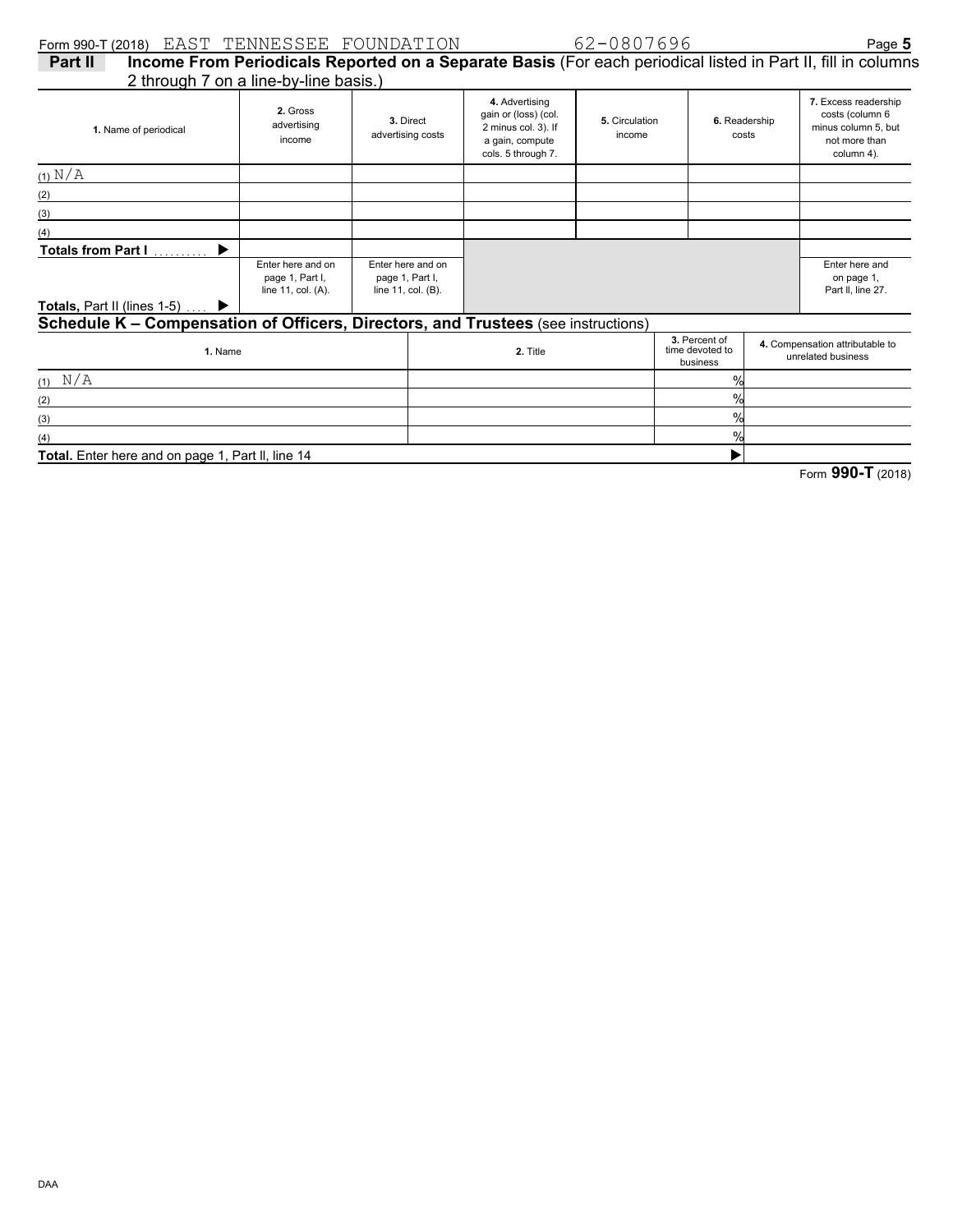| Form 990-T (2018) EAST TENNESSEE FOUNDATION                                       |                                                            |                                                            |                                                                                                        | 62-0807696               |                                              |                        | Page 5                                                                                                       |
|-----------------------------------------------------------------------------------|------------------------------------------------------------|------------------------------------------------------------|--------------------------------------------------------------------------------------------------------|--------------------------|----------------------------------------------|------------------------|--------------------------------------------------------------------------------------------------------------|
| Part II                                                                           |                                                            |                                                            |                                                                                                        |                          |                                              |                        | Income From Periodicals Reported on a Separate Basis (For each periodical listed in Part II, fill in columns |
| 2 through 7 on a line-by-line basis.)                                             |                                                            |                                                            |                                                                                                        |                          |                                              |                        |                                                                                                              |
| 1. Name of periodical                                                             | 2. Gross<br>advertising<br>income                          | 3. Direct<br>advertising costs                             | 4. Advertising<br>gain or (loss) (col.<br>2 minus col. 3). If<br>a gain, compute<br>cols. 5 through 7. | 5. Circulation<br>income |                                              | 6. Readership<br>costs | 7. Excess readership<br>costs (column 6<br>minus column 5, but<br>not more than<br>column 4).                |
| $(1)$ N/A                                                                         |                                                            |                                                            |                                                                                                        |                          |                                              |                        |                                                                                                              |
| (2)                                                                               |                                                            |                                                            |                                                                                                        |                          |                                              |                        |                                                                                                              |
| (3)                                                                               |                                                            |                                                            |                                                                                                        |                          |                                              |                        |                                                                                                              |
| (4)                                                                               |                                                            |                                                            |                                                                                                        |                          |                                              |                        |                                                                                                              |
| <b>Totals from Part I</b><br>▶                                                    |                                                            |                                                            |                                                                                                        |                          |                                              |                        |                                                                                                              |
|                                                                                   | Enter here and on<br>page 1, Part I,<br>line 11, col. (A). | Enter here and on<br>page 1, Part I,<br>line 11, col. (B). |                                                                                                        |                          |                                              |                        | Enter here and<br>on page 1,<br>Part II, line 27.                                                            |
| <b>Totals, Part II (lines 1-5)</b>                                                |                                                            |                                                            |                                                                                                        |                          |                                              |                        |                                                                                                              |
| Schedule K - Compensation of Officers, Directors, and Trustees (see instructions) |                                                            |                                                            |                                                                                                        |                          |                                              |                        |                                                                                                              |
| 1. Name                                                                           |                                                            |                                                            | 2. Title                                                                                               |                          | 3. Percent of<br>time devoted to<br>business |                        | 4. Compensation attributable to<br>unrelated business                                                        |
| N/A                                                                               |                                                            |                                                            |                                                                                                        |                          | $\frac{0}{0}$                                |                        |                                                                                                              |
| (2)                                                                               |                                                            |                                                            |                                                                                                        |                          | $\frac{0}{0}$                                |                        |                                                                                                              |

(4) **Total.** Enter here and on page 1, Part ll, line 14

(3)

Form **990-T** (2018)

 $\blacktriangleright$ 

% %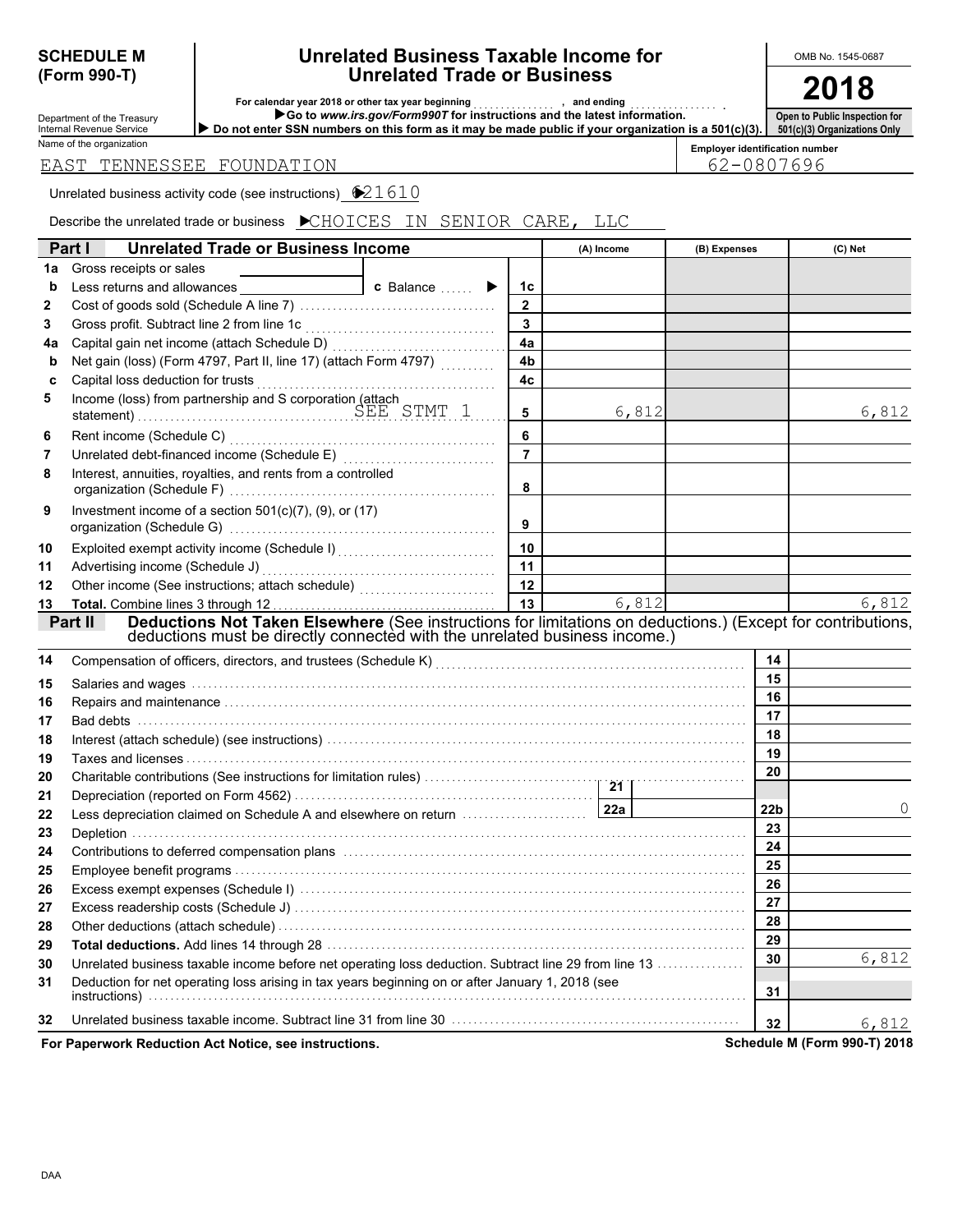# **(Form 990-T)**

#### **Unrelated Business Taxable Income for Unrelated Trade or Business SCHEDULE M Unrelated Business Taxable Income for | OMB No. 1545-0687**

**2018**

| Department of the Treasury<br><b>Internal Revenue Service</b> |
|---------------------------------------------------------------|
| Name of the organization                                      |

**For calendar year 2018 or other tax year beginning** . . . . . . . . . . . . . . . **, and ending** . . . . . . . . . . . . . . . . **.**

**• Do not enter SSN numbers on this form as it may be made public if your organization is Go to** *www.irs.gov/Form990T* **for instructions and the latest information.**

**Open to Public Inspection for zations Only** 

|  |  |  | s a 501(c)(3).   501(c)(3) Organi |
|--|--|--|-----------------------------------|
|  |  |  |                                   |

|  | EAST TENNESSEE FOUNDATION |
|--|---------------------------|

**Employer identification number** 62-0807696

Unrelated business activity code (see instructions)  $\bigotimes 21610$ 

Describe the unrelated trade or business  $\bigtriangledown$ CHOICES IN SENIOR CARE, LLC

|    | Part I<br><b>Unrelated Trade or Business Income</b>                                                                                                                                                                            |                 | (A) Income | (B) Expenses    | (C) Net                        |
|----|--------------------------------------------------------------------------------------------------------------------------------------------------------------------------------------------------------------------------------|-----------------|------------|-----------------|--------------------------------|
| 1a | Gross receipts or sales                                                                                                                                                                                                        |                 |            |                 |                                |
| b  | Less returns and allowances<br>c Balance<br>▶                                                                                                                                                                                  | 1 <sub>c</sub>  |            |                 |                                |
| 2  |                                                                                                                                                                                                                                | $\mathbf{2}$    |            |                 |                                |
| 3  |                                                                                                                                                                                                                                | 3               |            |                 |                                |
| 4a |                                                                                                                                                                                                                                | 4a              |            |                 |                                |
| b  | Net gain (loss) (Form 4797, Part II, line 17) (attach Form 4797)                                                                                                                                                               | 4b              |            |                 |                                |
| C  | Capital loss deduction for trusts                                                                                                                                                                                              | 4c              |            |                 |                                |
| 5  |                                                                                                                                                                                                                                | 5               | 6,812      |                 | 6,812                          |
| 6  |                                                                                                                                                                                                                                | 6               |            |                 |                                |
| 7  | Unrelated debt-financed income (Schedule E) [1997] [1997] [1997] [1997] [1997] [1997] [1997] [1997] [1997] [19                                                                                                                 | $\overline{7}$  |            |                 |                                |
| 8  | Interest, annuities, royalties, and rents from a controlled                                                                                                                                                                    | 8               |            |                 |                                |
| 9  | Investment income of a section $501(c)(7)$ , (9), or (17)                                                                                                                                                                      | 9               |            |                 |                                |
| 10 | Exploited exempt activity income (Schedule I)                                                                                                                                                                                  | 10              |            |                 |                                |
| 11 | Advertising income (Schedule J)                                                                                                                                                                                                | 11              |            |                 |                                |
| 12 | Other income (See instructions; attach schedule)                                                                                                                                                                               | 12              |            |                 |                                |
| 13 | Total. Combine lines 3 through 12.                                                                                                                                                                                             | $\overline{13}$ | 6,812      |                 | 6,812                          |
|    | Deductions Not Taken Elsewhere (See instructions for limitations on deductions.) (Except for contributions,<br>Part II<br>deductions must be directly connected with the unrelated business income.)                           |                 |            |                 |                                |
| 14 |                                                                                                                                                                                                                                |                 |            | 14              |                                |
| 15 | Salaries and wages with the contract of the contract of the salaries and wages with the salaries and wages                                                                                                                     |                 |            | 15              |                                |
| 16 |                                                                                                                                                                                                                                |                 |            | 16              |                                |
| 17 |                                                                                                                                                                                                                                |                 |            | 17              |                                |
| 18 |                                                                                                                                                                                                                                |                 |            | 18              |                                |
| 19 |                                                                                                                                                                                                                                |                 |            | 19              |                                |
| 20 |                                                                                                                                                                                                                                |                 |            | 20              |                                |
| 21 |                                                                                                                                                                                                                                |                 |            |                 |                                |
| 22 |                                                                                                                                                                                                                                |                 |            | 22 <sub>b</sub> |                                |
| 23 |                                                                                                                                                                                                                                |                 |            | 23              |                                |
| 24 | Contributions to deferred compensation plans (and the contract of the contributions to deferred compensation plans (and the contract of the control of the control of the control of the control of the control of the control |                 |            | 24              |                                |
| 25 |                                                                                                                                                                                                                                |                 |            | 25              |                                |
| 26 |                                                                                                                                                                                                                                |                 |            | 26              |                                |
| 27 |                                                                                                                                                                                                                                |                 |            | 27              |                                |
| 28 |                                                                                                                                                                                                                                |                 |            | 28              |                                |
| 29 |                                                                                                                                                                                                                                |                 |            | 29              |                                |
| 30 | Unrelated business taxable income before net operating loss deduction. Subtract line 29 from line 13                                                                                                                           |                 |            | 30              | 6,812                          |
| 31 | Deduction for net operating loss arising in tax years beginning on or after January 1, 2018 (see                                                                                                                               |                 |            | 31              |                                |
| 32 | Unrelated business taxable income. Subtract line 31 from line 30 manufacture contracts and contracts of the Un                                                                                                                 |                 |            | 32              | 6,812                          |
|    | cult Dealersting Ant Matine, and instance in                                                                                                                                                                                   |                 |            |                 | Peheelije M (Ferra 000 T) 0040 |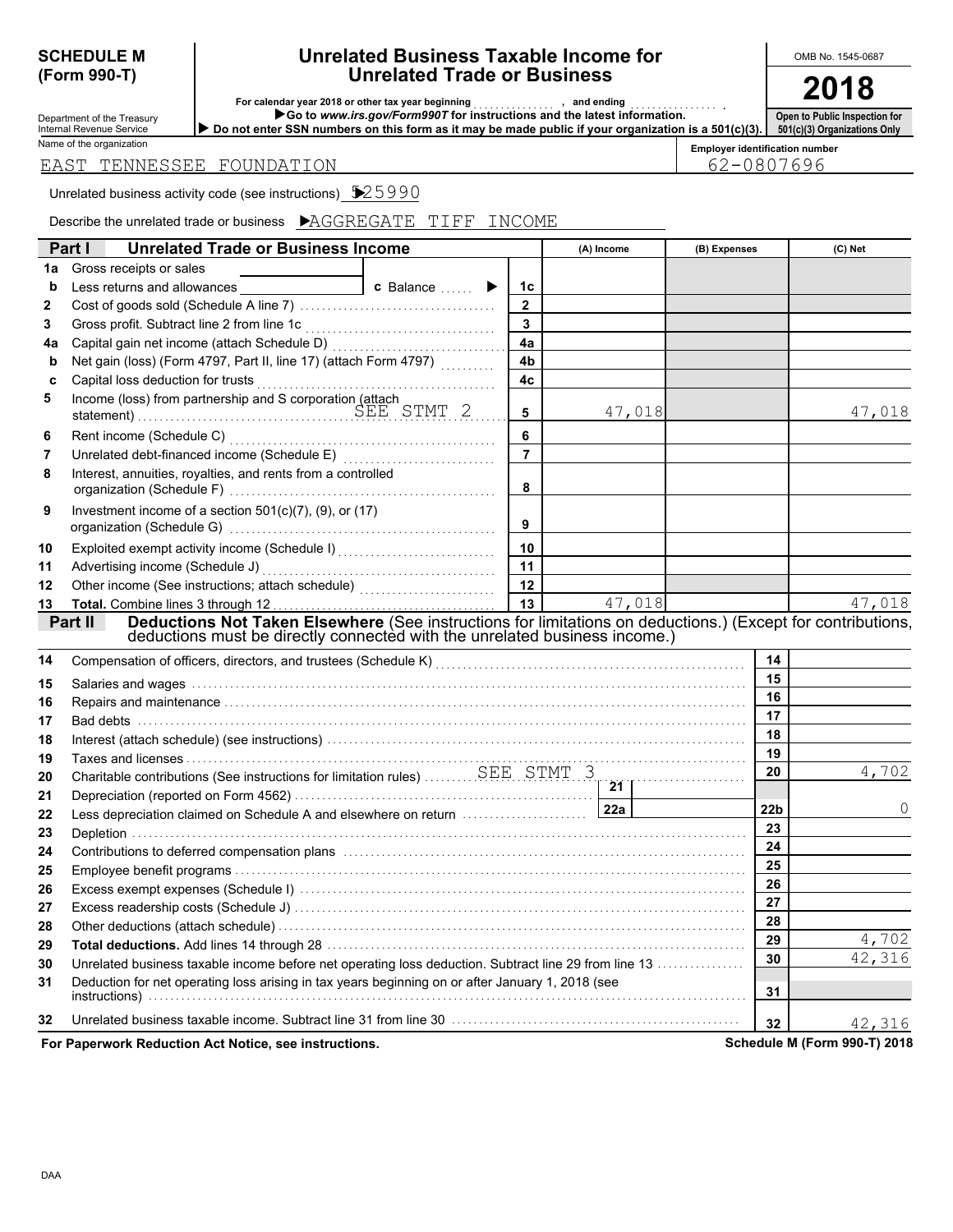# **(Form 990-T)**

#### **Unrelated Business Taxable Income for Unrelated Trade or Business SCHEDULE M Unrelated Business Taxable Income for | OMB No. 1545-0687**

**2018**

| Department of the Treasury<br><b>Internal Revenue Service</b> |
|---------------------------------------------------------------|
| Name of the organization                                      |

**For calendar year 2018 or other tax year beginning** . . . . . . . . . . . . . . . **, and ending** . . . . . . . . . . . . . . . . **.**

**Do not enter SSN numbers on this form as it may be made public if your organization is a 501(c)(3). Go to** *www.irs.gov/Form990T* **for instructions and the latest information.**

**Open to Public Inspection for**

**Employer identification number 501(c)(3) Organizations Only**

62-0807696

| EAST TENNESSEE FOUNDATION |  |
|---------------------------|--|
|---------------------------|--|

Unrelated business activity code (see instructions)  $\sqrt{25990}$ 

Describe the unrelated trade or business AGGREGATE TIFF INCOME

|    | Part I<br><b>Unrelated Trade or Business Income</b>                                                                                                                                                                            |                                           |                | (A) Income | (B) Expenses    | (C) Net                      |
|----|--------------------------------------------------------------------------------------------------------------------------------------------------------------------------------------------------------------------------------|-------------------------------------------|----------------|------------|-----------------|------------------------------|
| 1a | Gross receipts or sales                                                                                                                                                                                                        |                                           |                |            |                 |                              |
| b  | Less returns and allowances                                                                                                                                                                                                    | <b>c</b> Balance<br>$\blacktriangleright$ | 1c             |            |                 |                              |
| 2  |                                                                                                                                                                                                                                |                                           | $\overline{2}$ |            |                 |                              |
| 3  |                                                                                                                                                                                                                                |                                           | 3              |            |                 |                              |
| 4a |                                                                                                                                                                                                                                |                                           | 4a             |            |                 |                              |
| b  | Net gain (loss) (Form 4797, Part II, line 17) (attach Form 4797)                                                                                                                                                               |                                           | 4 <sub>b</sub> |            |                 |                              |
| C  |                                                                                                                                                                                                                                |                                           | 4c             |            |                 |                              |
| 5  |                                                                                                                                                                                                                                |                                           | 5              | 47,018     |                 | 47,018                       |
| 6  |                                                                                                                                                                                                                                |                                           | 6              |            |                 |                              |
| 7  |                                                                                                                                                                                                                                |                                           | $\overline{7}$ |            |                 |                              |
| 8  | Interest, annuities, royalties, and rents from a controlled                                                                                                                                                                    |                                           | 8              |            |                 |                              |
| 9  | Investment income of a section $501(c)(7)$ , (9), or (17)                                                                                                                                                                      |                                           | 9              |            |                 |                              |
| 10 |                                                                                                                                                                                                                                |                                           | 10             |            |                 |                              |
| 11 | Advertising income (Schedule J)                                                                                                                                                                                                |                                           | 11             |            |                 |                              |
| 12 |                                                                                                                                                                                                                                |                                           | 12             |            |                 |                              |
| 13 |                                                                                                                                                                                                                                |                                           | 13             | 47,018     |                 | 47,018                       |
|    | Deductions Not Taken Elsewhere (See instructions for limitations on deductions.) (Except for contributions,<br>Part II<br>deductions must be directly connected with the unrelated business income.)                           |                                           |                |            |                 |                              |
| 14 | Compensation of officers, directors, and trustees (Schedule K) [11] Compensation (11] Compensation of officers, directors, and trustees (Schedule K) [11] Compensation (11] Competition (11] Competition (11] Competition (11] |                                           |                |            | 14              |                              |
| 15 |                                                                                                                                                                                                                                |                                           |                |            | 15              |                              |
| 16 |                                                                                                                                                                                                                                |                                           |                |            | 16              |                              |
| 17 |                                                                                                                                                                                                                                |                                           |                |            | 17              |                              |
| 18 |                                                                                                                                                                                                                                |                                           |                |            | 18              |                              |
| 19 |                                                                                                                                                                                                                                |                                           |                |            | 19              |                              |
| 20 | Charitable contributions (See instructions for limitation rules) SEE STMT 3                                                                                                                                                    |                                           |                | 21         | 20              | 4,702                        |
| 21 |                                                                                                                                                                                                                                |                                           |                |            |                 |                              |
| 22 | Less depreciation claimed on Schedule A and elsewhere on return                                                                                                                                                                |                                           |                | 22a        | 22 <sub>b</sub> | $\Omega$                     |
| 23 |                                                                                                                                                                                                                                |                                           |                |            | 23              |                              |
| 24 |                                                                                                                                                                                                                                |                                           |                |            | 24              |                              |
| 25 |                                                                                                                                                                                                                                |                                           |                |            | 25              |                              |
| 26 |                                                                                                                                                                                                                                |                                           |                |            | 26              |                              |
| 27 |                                                                                                                                                                                                                                |                                           |                |            | 27              |                              |
| 28 |                                                                                                                                                                                                                                |                                           |                |            | 28              |                              |
| 29 |                                                                                                                                                                                                                                |                                           |                |            | 29              | 4,702                        |
| 30 | Unrelated business taxable income before net operating loss deduction. Subtract line 29 from line 13                                                                                                                           |                                           |                |            | 30              | 42,316                       |
| 31 | Deduction for net operating loss arising in tax years beginning on or after January 1, 2018 (see                                                                                                                               |                                           |                |            | 31              |                              |
| 32 | Unrelated business taxable income. Subtract line 31 from line 30 manufactured contains and contained business                                                                                                                  |                                           |                |            | 32 <sub>2</sub> | 42,316                       |
|    | For Paperwork Reduction Act Notice, see instructions.                                                                                                                                                                          |                                           |                |            |                 | Schedule M (Form 990-T) 2018 |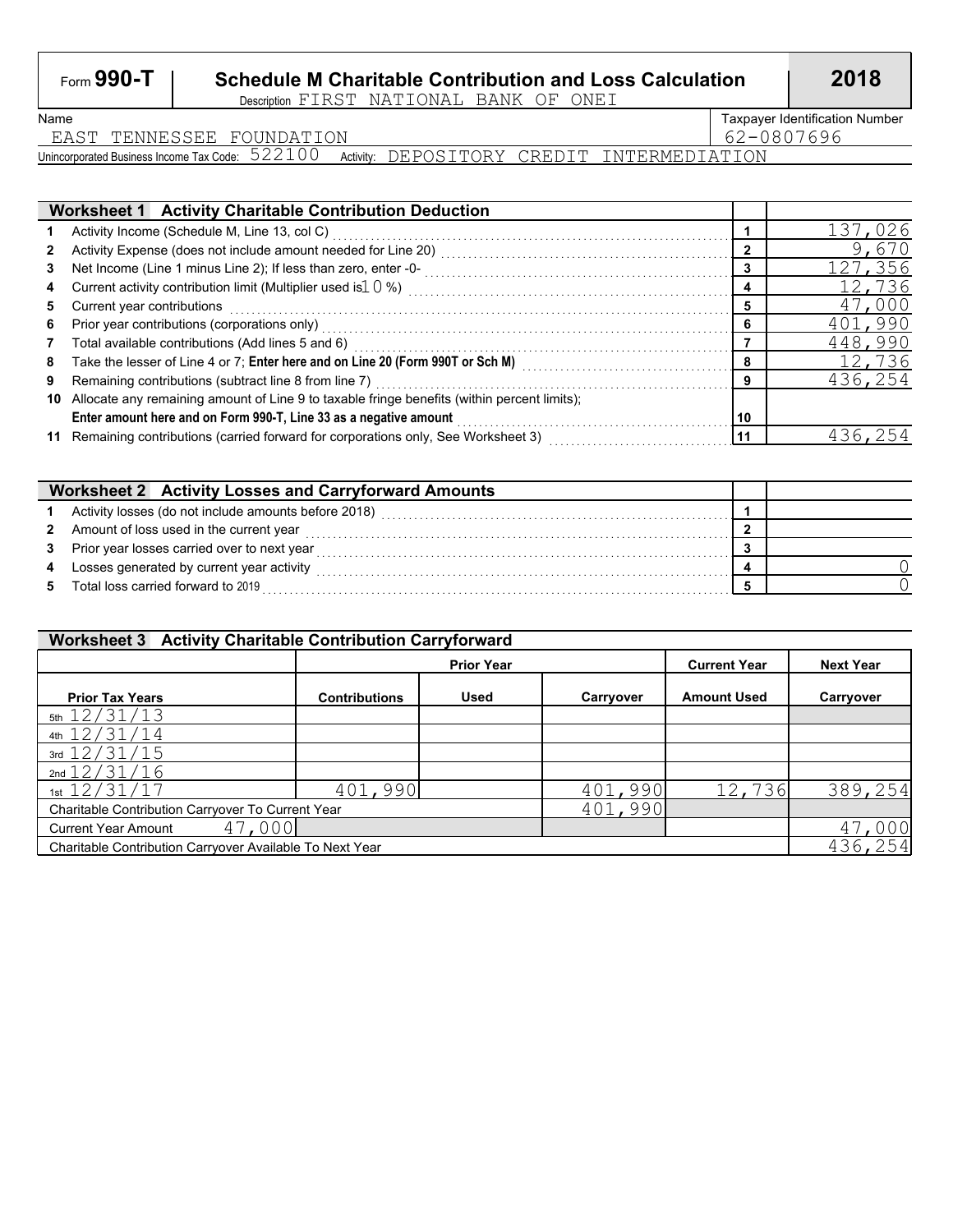## Form **990-T Schedule M Charitable Contribution and Loss Calculation 2018**

Description FIRST NATIONAL BANK OF ONEI

EAST TENNESSEE FOUNDATION 62-0807696

Name **Taxpayer Identification Number** 

Unincorporated Business Income Tax Code:  $\,522100\,$  Activity: <code>DEPOSITORY CREDIT</code> <code>INTERMEDIATION</code>

|    | <b>Worksheet 1 Activity Charitable Contribution Deduction</b>                                                                                                                                                                  |    |         |
|----|--------------------------------------------------------------------------------------------------------------------------------------------------------------------------------------------------------------------------------|----|---------|
|    |                                                                                                                                                                                                                                |    | 137,026 |
|    |                                                                                                                                                                                                                                |    | 9,670   |
|    |                                                                                                                                                                                                                                |    | 127,356 |
| 4  |                                                                                                                                                                                                                                |    | 12,736  |
| 5  | Current year contributions                                                                                                                                                                                                     |    | 47,000  |
| 6  |                                                                                                                                                                                                                                |    | 401,990 |
|    | Total available contributions (Add lines 5 and 6) Mathematic extension contributions of the system of the system of the system of the system of the system of the system of the system of the system of the system of the syst |    | 448,990 |
| 8  | Take the lesser of Line 4 or 7; Enter here and on Line 20 (Form 990T or Sch M)                                                                                                                                                 |    | 12,736  |
| 9  |                                                                                                                                                                                                                                | o  | 436,254 |
| 10 | Allocate any remaining amount of Line 9 to taxable fringe benefits (within percent limits);                                                                                                                                    |    |         |
|    | Enter amount here and on Form 990-T, Line 33 as a negative amount                                                                                                                                                              | 10 |         |
| 11 | Remaining contributions (carried forward for corporations only, See Worksheet 3)                                                                                                                                               | 11 | 436     |

|    | Worksheet 2 Activity Losses and Carryforward Amounts   |  |
|----|--------------------------------------------------------|--|
|    | 1 Activity losses (do not include amounts before 2018) |  |
|    | 2 Amount of loss used in the current year              |  |
|    | 3 Prior year losses carried over to next year          |  |
| 4  | Losses generated by current year activity              |  |
| 5. | Total loss carried forward to 2019                     |  |

| Worksheet 3 Activity Charitable Contribution Carryforward |                      |                   |           |                     |                  |  |  |  |  |  |  |
|-----------------------------------------------------------|----------------------|-------------------|-----------|---------------------|------------------|--|--|--|--|--|--|
|                                                           |                      | <b>Prior Year</b> |           | <b>Current Year</b> | <b>Next Year</b> |  |  |  |  |  |  |
| <b>Prior Tax Years</b>                                    | <b>Contributions</b> | <b>Used</b>       | Carryover | <b>Amount Used</b>  | Carryover        |  |  |  |  |  |  |
| 5th $12/31/13$                                            |                      |                   |           |                     |                  |  |  |  |  |  |  |
| 4th $12/31/14$                                            |                      |                   |           |                     |                  |  |  |  |  |  |  |
| 3rd $12/31/15$                                            |                      |                   |           |                     |                  |  |  |  |  |  |  |
| 2nd $12/31/16$                                            |                      |                   |           |                     |                  |  |  |  |  |  |  |
| 1st $12/31/17$                                            | 401,990              |                   | 401,990   | 12,736              | 389,254          |  |  |  |  |  |  |
| Charitable Contribution Carryover To Current Year         |                      |                   | 401,990   |                     |                  |  |  |  |  |  |  |
| 47,000<br><b>Current Year Amount</b>                      |                      |                   |           |                     | 000              |  |  |  |  |  |  |
| Charitable Contribution Carryover Available To Next Year  |                      |                   |           |                     | 436,254          |  |  |  |  |  |  |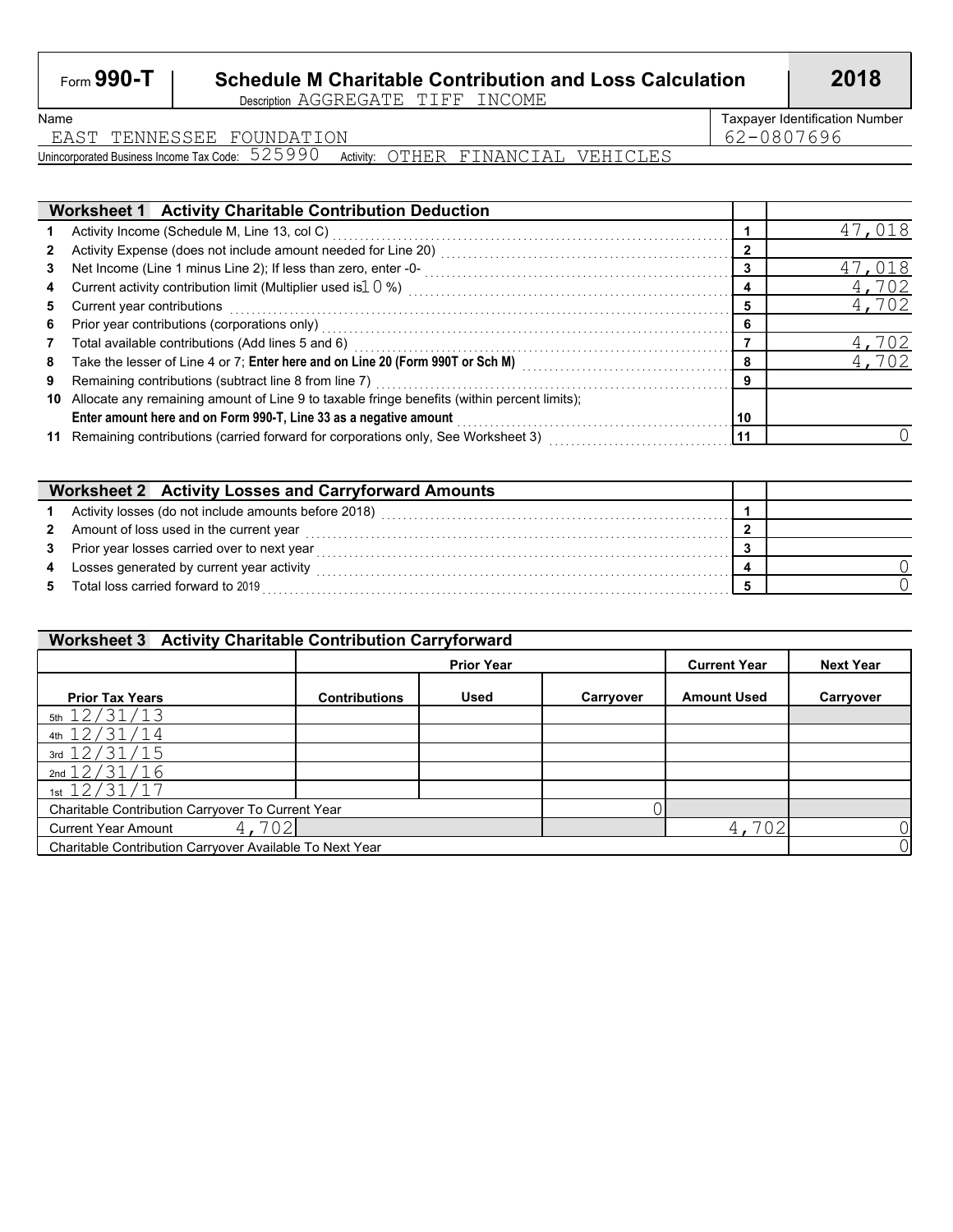## Form **990-T Schedule M Charitable Contribution and Loss Calculation 2018**

Description AGGREGATE TIFF INCOME

Name **Taxpayer Identification Number** 

EAST TENNESSEE FOUNDATION 62-0807696

Unincorporated Business Income Tax Code:  $525990$  Activity:  $\rm{OTHER}$   $\rm{FINANCIAL}$   $\rm{VEHICLES}$ 

|    | <b>Worksheet 1 Activity Charitable Contribution Deduction</b>                                                 |    |                    |
|----|---------------------------------------------------------------------------------------------------------------|----|--------------------|
|    | Activity Income (Schedule M, Line 13, col C)                                                                  |    | 018                |
|    | Activity Expense (does not include amount needed for Line 20)<br>[[[[[[[[[[[[[[[[[[]]]]]]                     |    |                    |
|    |                                                                                                               |    | 1,018              |
| 4  |                                                                                                               | 4  | 4,702              |
| 5  | Current year contributions                                                                                    | 5  | 4,702              |
| 6  | Prior year contributions (corporations only)                                                                  | 6  |                    |
|    | Total available contributions (Add lines 5 and 6) Mathematic extension contracts and a problem and a meta-    |    | 4,702              |
| 8  | Take the lesser of Line 4 or 7; Enter here and on Line 20 (Form 990T or Sch M)                                | 8  | $\overline{4.702}$ |
| 9  | Remaining contributions (subtract line 8 from line 7) [11] contained and contained a series and contributions | 9  |                    |
| 10 | Allocate any remaining amount of Line 9 to taxable fringe benefits (within percent limits);                   |    |                    |
|    | Enter amount here and on Form 990-T, Line 33 as a negative amount                                             | 10 |                    |
| 11 | Remaining contributions (carried forward for corporations only, See Worksheet 3)                              | 11 |                    |

|                | <b>Worksheet 2 Activity Losses and Carryforward Amounts</b> |  |
|----------------|-------------------------------------------------------------|--|
|                | 1 Activity losses (do not include amounts before 2018)      |  |
|                | 2 Amount of loss used in the current year                   |  |
|                | 3 Prior year losses carried over to next year               |  |
| $\overline{4}$ | Losses generated by current year activity                   |  |
| 5              | Total loss carried forward to 2019                          |  |

| Worksheet 3 Activity Charitable Contribution Carryforward |                      |                   |           |                     |                  |  |  |  |  |  |  |
|-----------------------------------------------------------|----------------------|-------------------|-----------|---------------------|------------------|--|--|--|--|--|--|
|                                                           |                      | <b>Prior Year</b> |           | <b>Current Year</b> | <b>Next Year</b> |  |  |  |  |  |  |
| <b>Prior Tax Years</b>                                    | <b>Contributions</b> | Used              | Carryover | <b>Amount Used</b>  | Carryover        |  |  |  |  |  |  |
| $5th$ 12/31/13                                            |                      |                   |           |                     |                  |  |  |  |  |  |  |
| 4th $12/31/14$                                            |                      |                   |           |                     |                  |  |  |  |  |  |  |
| 3rd $12/31/15$                                            |                      |                   |           |                     |                  |  |  |  |  |  |  |
| 2nd $12/31/16$                                            |                      |                   |           |                     |                  |  |  |  |  |  |  |
| 1st $12/31/17$                                            |                      |                   |           |                     |                  |  |  |  |  |  |  |
| Charitable Contribution Carryover To Current Year         |                      |                   |           |                     |                  |  |  |  |  |  |  |
| 4,702<br><b>Current Year Amount</b>                       |                      |                   |           | 4,702               |                  |  |  |  |  |  |  |
| Charitable Contribution Carryover Available To Next Year  |                      |                   |           |                     | 0                |  |  |  |  |  |  |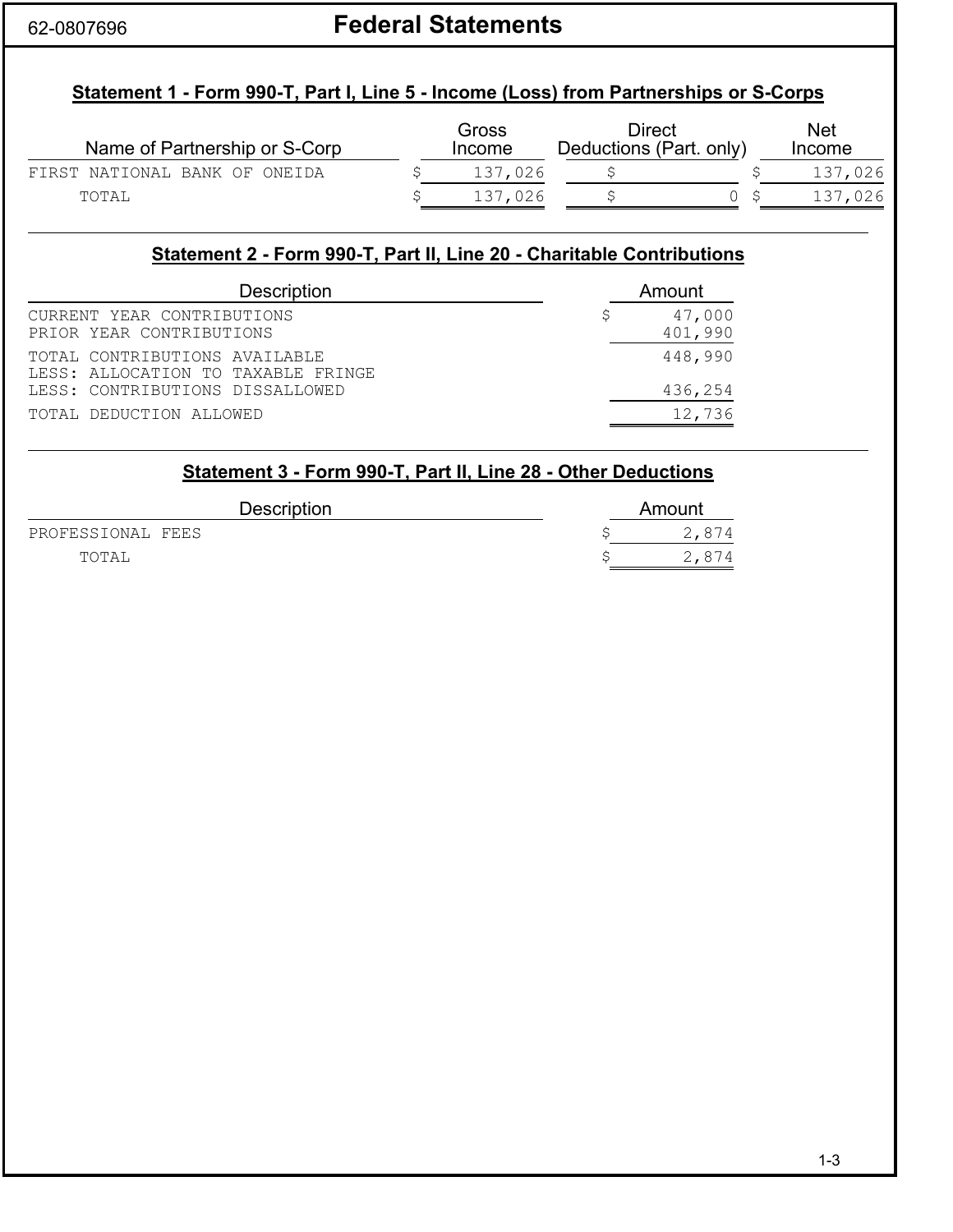# 62-0807696 **Federal Statements**

### **Statement 1 - Form 990-T, Part I, Line 5 - Income (Loss) from Partnerships or S-Corps**

| Name of Partnership or S-Corp | Gross<br><b>Income</b> | Direct<br>Deductions (Part. only) | <b>Net</b><br><b>Income</b> |
|-------------------------------|------------------------|-----------------------------------|-----------------------------|
| FIRST NATIONAL BANK OF ONEIDA | 137,026                |                                   | 137,026                     |
| TOTAL                         | 137,026                |                                   | 137,026                     |

#### **Statement 2 - Form 990-T, Part II, Line 20 - Charitable Contributions**

| <b>Description</b>                                                  | Amount            |
|---------------------------------------------------------------------|-------------------|
| CURRENT YEAR CONTRIBUTIONS<br>PRIOR YEAR CONTRIBUTIONS              | 47,000<br>401,990 |
| TOTAL CONTRIBUTIONS AVAILABLE<br>LESS: ALLOCATION TO TAXABLE FRINGE | 448,990           |
| LESS: CONTRIBUTIONS DISSALLOWED                                     | 436,254           |
| TOTAL DEDUCTION ALLOWED                                             | 12,736            |

#### **Statement 3 - Form 990-T, Part II, Line 28 - Other Deductions**

| <b>Description</b> | Amount |
|--------------------|--------|
| PROFESSIONAL FEES  | 2,874  |
| TOTAL              | 2.874  |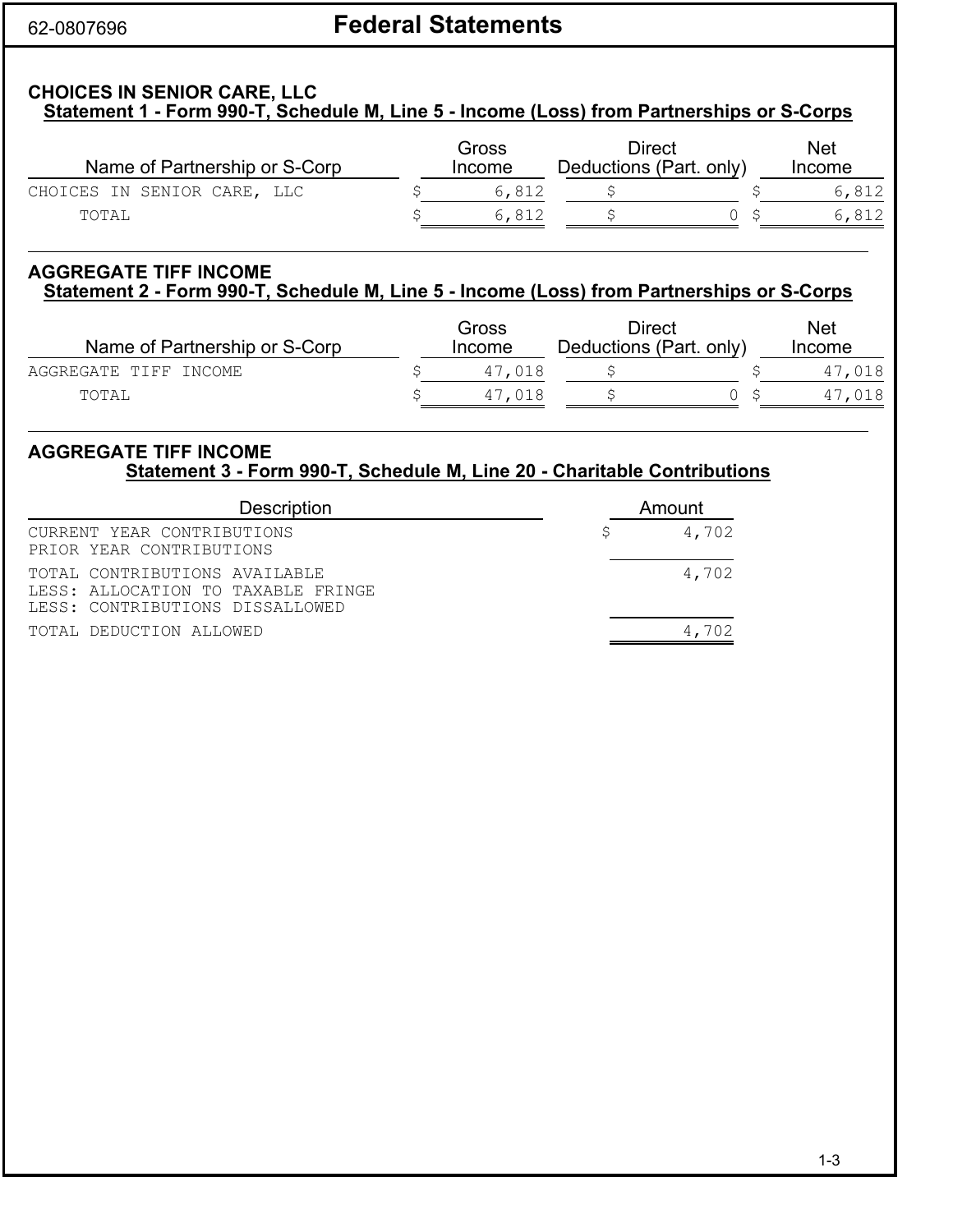# 62-0807696 **Federal Statements**

#### **CHOICES IN SENIOR CARE, LLC Statement 1 - Form 990-T, Schedule M, Line 5 - Income (Loss) from Partnerships or S-Corps**

| Name of Partnership or S-Corp | Gross<br>Income | Direct<br>Deductions (Part. only) | Net<br><b>Income</b> |
|-------------------------------|-----------------|-----------------------------------|----------------------|
| CHOICES IN SENIOR CARE, LLC   | 6.812           |                                   | 6,812                |
| TOTAL                         | 6.812           |                                   | 6,812                |

### **AGGREGATE TIFF INCOME Statement 2 - Form 990-T, Schedule M, Line 5 - Income (Loss) from Partnerships or S-Corps**

| Name of Partnership or S-Corp |  | Gross<br>Income | Direct<br>Deductions (Part. only) | <b>Net</b><br>Income |        |
|-------------------------------|--|-----------------|-----------------------------------|----------------------|--------|
| AGGREGATE TIFF INCOME         |  | 47,018          |                                   |                      | 47,018 |
| TOTAL                         |  | 47.018          |                                   |                      | 47.018 |

#### **AGGREGATE TIFF INCOME Statement 3 - Form 990-T, Schedule M, Line 20 - Charitable Contributions**

| <b>Description</b>                                                                                     |  | Amount |
|--------------------------------------------------------------------------------------------------------|--|--------|
| CURRENT YEAR CONTRIBUTIONS<br>PRIOR YEAR CONTRIBUTIONS                                                 |  | 4,702  |
| TOTAL CONTRIBUTIONS AVAILABLE<br>LESS: ALLOCATION TO TAXABLE FRINGE<br>LESS: CONTRIBUTIONS DISSALLOWED |  | 4,702  |
| TOTAL DEDUCTION ALLOWED                                                                                |  | כחי    |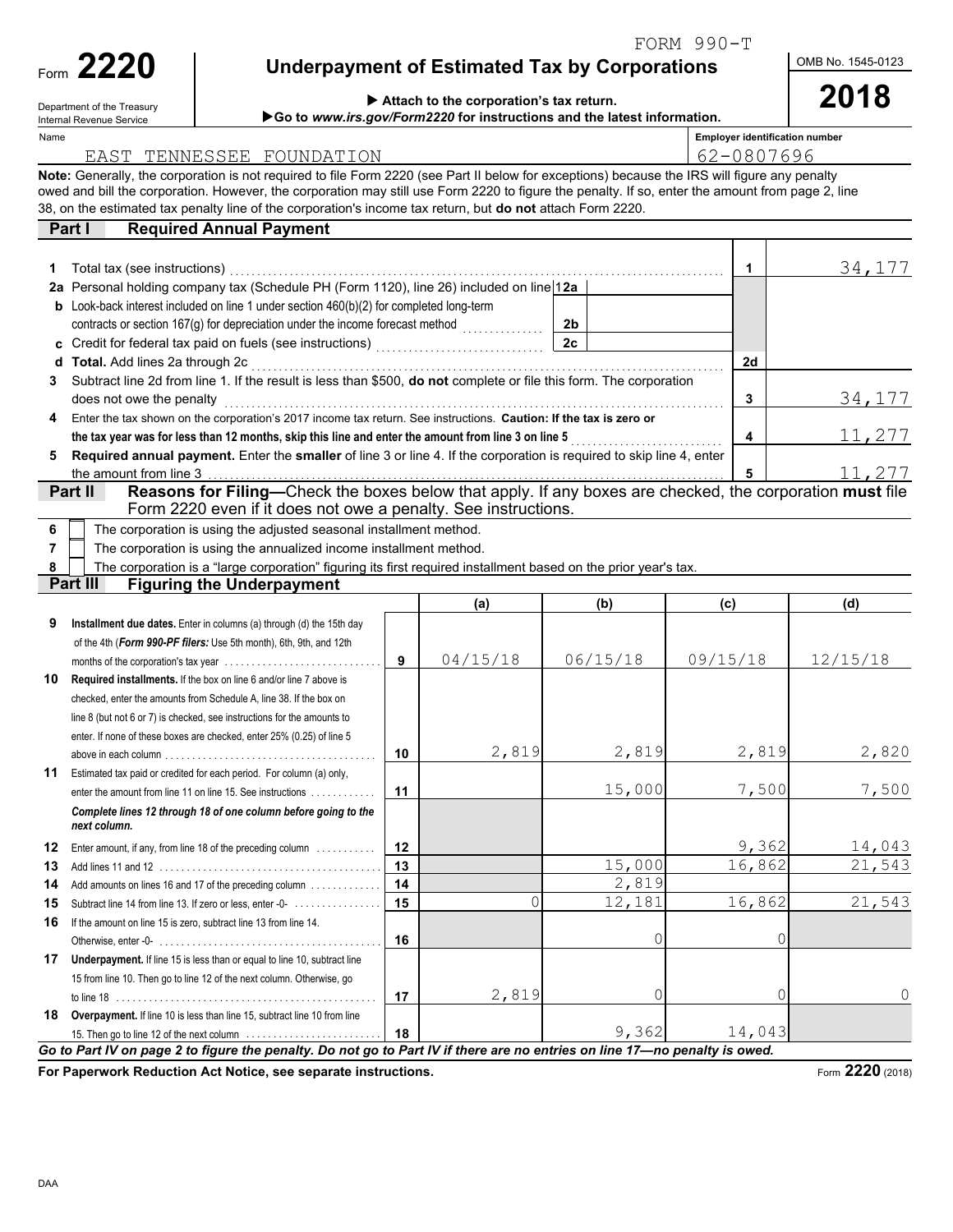FORM 990-T

| Form | ククク<br>Æ |
|------|----------|
|      |          |

Department of the Treasury Internal Revenue Service

## **Underpayment of Estimated Tax by Corporations**

**2018** OMB No. 1545-0123

| $\blacktriangleright$ Attach to the corporation's tax return.     |
|-------------------------------------------------------------------|
| ▶ Go to www.irs.gov/Form2220 for instructions and the latest info |

| w.irs.gov/Form2220 for instructions and the latest information. |  |
|-----------------------------------------------------------------|--|
|                                                                 |  |

| Name |                                                                                                                                                  |    |          |                |          | <b>Employer identification number</b><br>62-0807696 |               |  |
|------|--------------------------------------------------------------------------------------------------------------------------------------------------|----|----------|----------------|----------|-----------------------------------------------------|---------------|--|
|      | EAST TENNESSEE FOUNDATION                                                                                                                        |    |          |                |          |                                                     |               |  |
|      | Note: Generally, the corporation is not required to file Form 2220 (see Part II below for exceptions) because the IRS will figure any penalty    |    |          |                |          |                                                     |               |  |
|      | owed and bill the corporation. However, the corporation may still use Form 2220 to figure the penalty. If so, enter the amount from page 2, line |    |          |                |          |                                                     |               |  |
|      | 38, on the estimated tax penalty line of the corporation's income tax return, but do not attach Form 2220.                                       |    |          |                |          |                                                     |               |  |
|      | <b>Required Annual Payment</b><br>Part I                                                                                                         |    |          |                |          |                                                     |               |  |
|      |                                                                                                                                                  |    |          |                |          |                                                     |               |  |
| 1    | Total tax (see instructions)                                                                                                                     |    |          |                |          | 1                                                   | 34,177        |  |
|      | 2a Personal holding company tax (Schedule PH (Form 1120), line 26) included on line 12a                                                          |    |          |                |          |                                                     |               |  |
|      | <b>b</b> Look-back interest included on line 1 under section $460(b)(2)$ for completed long-term                                                 |    |          |                |          |                                                     |               |  |
|      | contracts or section 167(g) for depreciation under the income forecast method                                                                    |    |          | 2 <sub>b</sub> |          |                                                     |               |  |
| c    |                                                                                                                                                  |    |          | 2c             |          |                                                     |               |  |
| d    | Total. Add lines 2a through 2c                                                                                                                   |    |          |                |          | 2d                                                  |               |  |
| 3    | Subtract line 2d from line 1. If the result is less than \$500, do not complete or file this form. The corporation                               |    |          |                |          |                                                     |               |  |
|      | does not owe the penalty                                                                                                                         |    |          |                |          | 3                                                   | 34,177        |  |
| 4    | Enter the tax shown on the corporation's 2017 income tax return. See instructions. Caution: If the tax is zero or                                |    |          |                |          |                                                     |               |  |
|      | the tax year was for less than 12 months, skip this line and enter the amount from line 3 on line 5                                              |    |          |                |          | $\overline{\mathbf{4}}$                             | <u>11,277</u> |  |
| 5    | Required annual payment. Enter the smaller of line 3 or line 4. If the corporation is required to skip line 4, enter                             |    |          |                |          |                                                     |               |  |
|      | the amount from line 3                                                                                                                           |    |          |                |          | 5                                                   | 11,277        |  |
|      | Reasons for Filing-Check the boxes below that apply. If any boxes are checked, the corporation must file<br>Part II                              |    |          |                |          |                                                     |               |  |
|      | Form 2220 even if it does not owe a penalty. See instructions.                                                                                   |    |          |                |          |                                                     |               |  |
| 6    | The corporation is using the adjusted seasonal installment method.                                                                               |    |          |                |          |                                                     |               |  |
| 7    | The corporation is using the annualized income installment method.                                                                               |    |          |                |          |                                                     |               |  |
| 8    | The corporation is a "large corporation" figuring its first required installment based on the prior year's tax.                                  |    |          |                |          |                                                     |               |  |
|      | Part III<br><b>Figuring the Underpayment</b>                                                                                                     |    |          |                |          |                                                     |               |  |
|      |                                                                                                                                                  |    | (a)      | (b)            | (c)      |                                                     | (d)           |  |
| 9    | Installment due dates. Enter in columns (a) through (d) the 15th day                                                                             |    |          |                |          |                                                     |               |  |
|      | of the 4th (Form 990-PF filers: Use 5th month), 6th, 9th, and 12th                                                                               |    |          |                |          |                                                     |               |  |
|      |                                                                                                                                                  | 9  | 04/15/18 | 06/15/18       | 09/15/18 |                                                     | 12/15/18      |  |
| 10   | Required installments. If the box on line 6 and/or line 7 above is                                                                               |    |          |                |          |                                                     |               |  |
|      | checked, enter the amounts from Schedule A, line 38. If the box on                                                                               |    |          |                |          |                                                     |               |  |
|      | line 8 (but not 6 or 7) is checked, see instructions for the amounts to                                                                          |    |          |                |          |                                                     |               |  |
|      | enter. If none of these boxes are checked, enter 25% (0.25) of line 5                                                                            |    |          |                |          |                                                     |               |  |
|      |                                                                                                                                                  | 10 | 2,819    | 2,819          |          | 2,819                                               | 2,820         |  |
|      |                                                                                                                                                  |    |          |                |          |                                                     |               |  |

|    |                                                                                                     | 10 | 2,819 | 2,819  | 2,819  | 2,820  |
|----|-----------------------------------------------------------------------------------------------------|----|-------|--------|--------|--------|
| 11 | Estimated tax paid or credited for each period. For column (a) only,                                |    |       |        |        |        |
|    | enter the amount from line 11 on line 15. See instructions                                          | 11 |       | 15,000 | 7,500  | 7,500  |
|    | Complete lines 12 through 18 of one column before going to the<br>next column.                      |    |       |        |        |        |
| 12 | Enter amount, if any, from line 18 of the preceding column                                          | 12 |       |        | 9,362  | 14,043 |
| 13 |                                                                                                     | 13 |       | 15,000 | 16,862 | 21,543 |
| 14 | Add amounts on lines 16 and 17 of the preceding column                                              | 14 |       | 2,819  |        |        |
| 15 | Subtract line 14 from line 13. If zero or less, enter -0-                                           | 15 |       | 12,181 | 16,862 | 21,543 |
| 16 | If the amount on line 15 is zero, subtract line 13 from line 14.                                    |    |       |        |        |        |
|    |                                                                                                     | 16 |       | 0      |        |        |
| 17 | <b>Underpayment.</b> If line 15 is less than or equal to line 10, subtract line                     |    |       |        |        |        |
|    | 15 from line 10. Then go to line 12 of the next column. Otherwise, go                               |    |       |        |        |        |
|    |                                                                                                     | 17 | 2,819 |        |        | 0      |
| 18 | <b>Overpayment.</b> If line 10 is less than line 15, subtract line 10 from line                     |    |       |        |        |        |
|    | 15. Then go to line 12 of the next column $\ldots \ldots \ldots \ldots \ldots \ldots \ldots \ldots$ | 18 |       | 9,362  | 14,043 |        |

**For Paperwork Reduction Act Notice, see separate instructions.**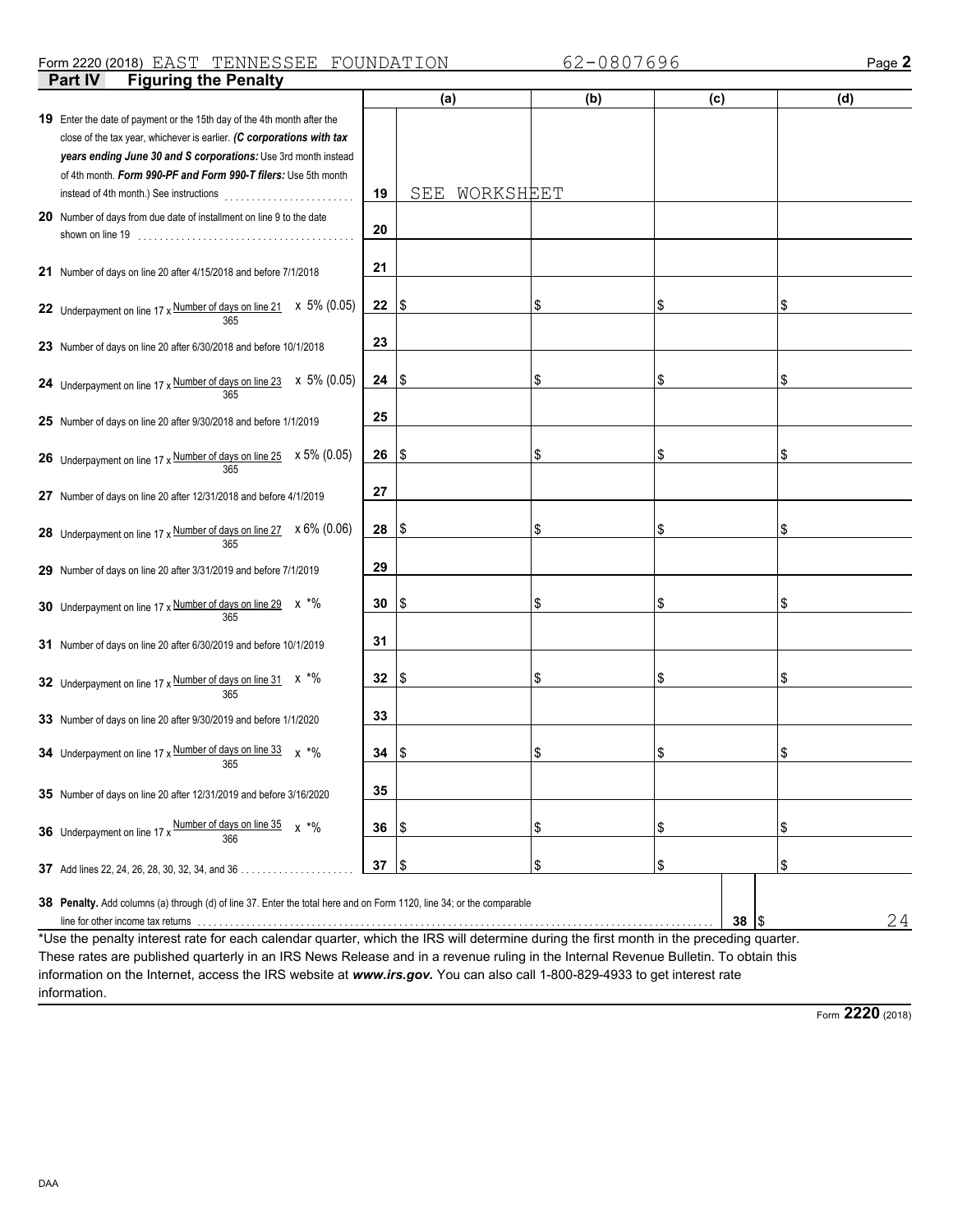#### **Part IV** Figuring the Penalty Form 2220 (2018) Page **2** EAST TENNESSEE FOUNDATION 62-0807696

|                                                                                                                                                                                                                                                                                                                                                                          |    | (a)              | (b) | (c) |           | (d) |
|--------------------------------------------------------------------------------------------------------------------------------------------------------------------------------------------------------------------------------------------------------------------------------------------------------------------------------------------------------------------------|----|------------------|-----|-----|-----------|-----|
| 19 Enter the date of payment or the 15th day of the 4th month after the                                                                                                                                                                                                                                                                                                  |    |                  |     |     |           |     |
| close of the tax year, whichever is earlier. (C corporations with tax                                                                                                                                                                                                                                                                                                    |    |                  |     |     |           |     |
| years ending June 30 and S corporations: Use 3rd month instead                                                                                                                                                                                                                                                                                                           |    |                  |     |     |           |     |
| of 4th month. Form 990-PF and Form 990-T filers: Use 5th month                                                                                                                                                                                                                                                                                                           |    |                  |     |     |           |     |
|                                                                                                                                                                                                                                                                                                                                                                          | 19 | SEE<br>WORKSHEET |     |     |           |     |
| 20 Number of days from due date of installment on line 9 to the date                                                                                                                                                                                                                                                                                                     |    |                  |     |     |           |     |
|                                                                                                                                                                                                                                                                                                                                                                          | 20 |                  |     |     |           |     |
|                                                                                                                                                                                                                                                                                                                                                                          |    |                  |     |     |           |     |
| 21 Number of days on line 20 after 4/15/2018 and before 7/1/2018                                                                                                                                                                                                                                                                                                         | 21 |                  |     |     |           |     |
|                                                                                                                                                                                                                                                                                                                                                                          |    |                  |     |     |           |     |
| 22 Underpayment on line 17 x $\frac{\text{Number of days on line 21}}{365}$ x 5% (0.05)                                                                                                                                                                                                                                                                                  | 22 | ۱\$              | \$  | \$  |           | \$  |
|                                                                                                                                                                                                                                                                                                                                                                          | 23 |                  |     |     |           |     |
| 23 Number of days on line 20 after 6/30/2018 and before 10/1/2018                                                                                                                                                                                                                                                                                                        |    |                  |     |     |           |     |
|                                                                                                                                                                                                                                                                                                                                                                          | 24 | I\$              | \$  | \$  |           | \$  |
| 24 Underpayment on line 17 x $\frac{\text{Number of days on line 23}}{365}$ x 5% (0.05)                                                                                                                                                                                                                                                                                  |    |                  |     |     |           |     |
| 25 Number of days on line 20 after 9/30/2018 and before 1/1/2019                                                                                                                                                                                                                                                                                                         | 25 |                  |     |     |           |     |
|                                                                                                                                                                                                                                                                                                                                                                          |    |                  |     |     |           |     |
| <b>26</b> Underpayment on line 17 x Number of days on line 25 $\times$ 5% (0.05)                                                                                                                                                                                                                                                                                         | 26 | ۱\$              | \$  | \$  |           | \$  |
|                                                                                                                                                                                                                                                                                                                                                                          |    |                  |     |     |           |     |
| 27 Number of days on line 20 after 12/31/2018 and before 4/1/2019                                                                                                                                                                                                                                                                                                        | 27 |                  |     |     |           |     |
|                                                                                                                                                                                                                                                                                                                                                                          |    |                  |     |     |           |     |
| 28 Underpayment on line 17 x Number of days on line 27 x 6% (0.06)                                                                                                                                                                                                                                                                                                       | 28 | ۱\$              | \$  | \$  |           | \$  |
| 365                                                                                                                                                                                                                                                                                                                                                                      |    |                  |     |     |           |     |
| 29 Number of days on line 20 after 3/31/2019 and before 7/1/2019                                                                                                                                                                                                                                                                                                         | 29 |                  |     |     |           |     |
|                                                                                                                                                                                                                                                                                                                                                                          |    |                  |     |     |           |     |
| 30 Underpayment on line 17 x Number of days on line 29 x *%                                                                                                                                                                                                                                                                                                              | 30 | 15               | \$  | \$  |           | \$  |
|                                                                                                                                                                                                                                                                                                                                                                          |    |                  |     |     |           |     |
| 31 Number of days on line 20 after 6/30/2019 and before 10/1/2019                                                                                                                                                                                                                                                                                                        | 31 |                  |     |     |           |     |
|                                                                                                                                                                                                                                                                                                                                                                          | 32 | 15               | \$  | \$  |           | \$  |
| 32 Underpayment on line 17 x Number of days on line 31 x *%<br>365                                                                                                                                                                                                                                                                                                       |    |                  |     |     |           |     |
|                                                                                                                                                                                                                                                                                                                                                                          | 33 |                  |     |     |           |     |
| 33 Number of days on line 20 after 9/30/2019 and before 1/1/2020                                                                                                                                                                                                                                                                                                         |    |                  |     |     |           |     |
| 34 Underpayment on line 17 x Number of days on line 33<br>$x \cdot \frac{6}{6}$                                                                                                                                                                                                                                                                                          | 34 | \$               | \$  | \$  |           | \$  |
| 365                                                                                                                                                                                                                                                                                                                                                                      |    |                  |     |     |           |     |
| 35 Number of days on line 20 after 12/31/2019 and before 3/16/2020                                                                                                                                                                                                                                                                                                       | 35 |                  |     |     |           |     |
|                                                                                                                                                                                                                                                                                                                                                                          |    |                  |     |     |           |     |
| Number of days on line 35<br>$x * \%$<br>36 Underpayment on line 17 x<br>366                                                                                                                                                                                                                                                                                             | 36 | \$               | \$  | \$  |           | \$  |
|                                                                                                                                                                                                                                                                                                                                                                          |    |                  |     |     |           |     |
| <b>37</b> Add lines 22, 24, 26, 28, 30, 32, 34, and 36                                                                                                                                                                                                                                                                                                                   | 37 | 1\$              | \$  | \$  |           | \$  |
|                                                                                                                                                                                                                                                                                                                                                                          |    |                  |     |     |           |     |
| <b>38</b> Penalty. Add columns (a) through (d) of line 37. Enter the total here and on Form 1120, line 34; or the comparable                                                                                                                                                                                                                                             |    |                  |     |     |           |     |
| line for other income tax returns with the content of the content of the content of the content of the content of the content of the content of the content of the content of the content of the content of the content of the<br>*Use the penalty interest rate for each calendar quarter, which the IRS will determine during the first month in the preceding quarter |    |                  |     |     | 38<br>1\$ | 24  |

\*Use the penalty interest rate for each calendar quarter, which the IRS will determine during the first month in the preceding quarter. These rates are published quarterly in an IRS News Release and in a revenue ruling in the Internal Revenue Bulletin. To obtain this information on the Internet, access the IRS website at *www.irs.gov.* You can also call 1-800-829-4933 to get interest rate information.

Form **2220** (2018)